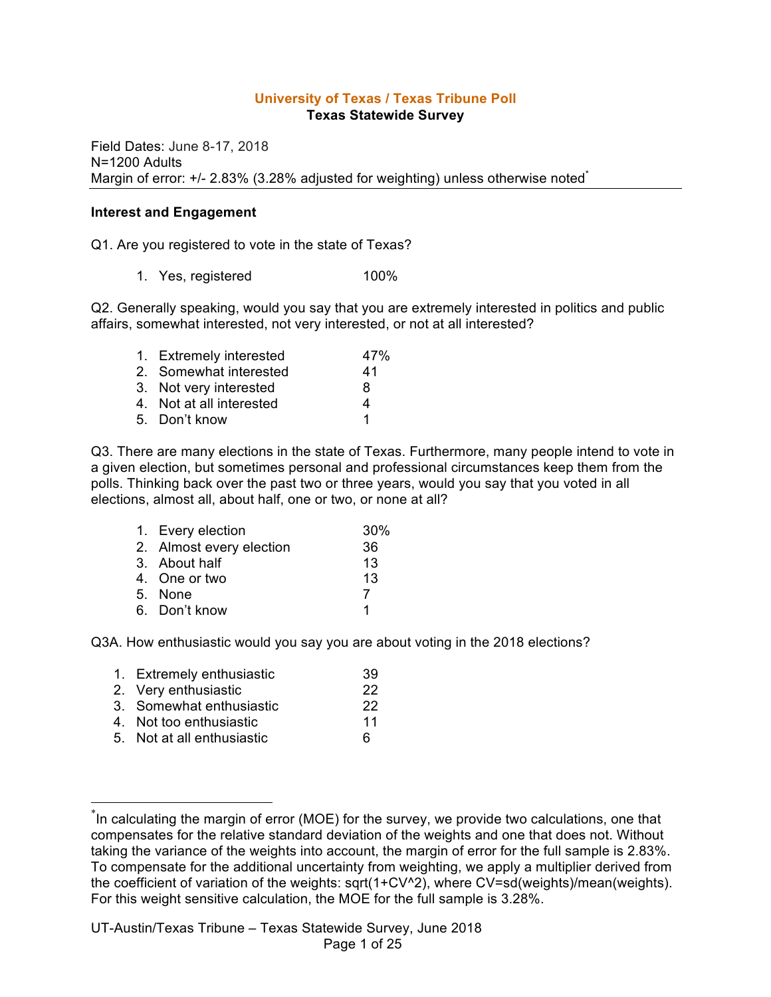#### **University of Texas / Texas Tribune Poll Texas Statewide Survey**

Field Dates: June 8-17, 2018 N=1200 Adults Margin of error: +/- 2.83% (3.28% adjusted for weighting) unless otherwise noted<sup>\*</sup>

#### **Interest and Engagement**

Q1. Are you registered to vote in the state of Texas?

1. Yes, registered 100%

Q2. Generally speaking, would you say that you are extremely interested in politics and public affairs, somewhat interested, not very interested, or not at all interested?

| 1. Extremely interested  | 47% |
|--------------------------|-----|
| 2. Somewhat interested   | 41  |
| 3. Not very interested   | 8   |
| 4. Not at all interested | 4   |
| 5. Don't know            | 1   |

Q3. There are many elections in the state of Texas. Furthermore, many people intend to vote in a given election, but sometimes personal and professional circumstances keep them from the polls. Thinking back over the past two or three years, would you say that you voted in all elections, almost all, about half, one or two, or none at all?

| 1. Every election        | 30% |
|--------------------------|-----|
| 2. Almost every election | 36  |
| 3. About half            | 13  |
| 4. One or two            | 13  |
| 5. None                  | 7   |
| 6. Don't know            |     |

Q3A. How enthusiastic would you say you are about voting in the 2018 elections?

| 1. Extremely enthusiastic  | 39 |
|----------------------------|----|
| 2. Very enthusiastic       | 22 |
| 3. Somewhat enthusiastic   | 22 |
| 4. Not too enthusiastic    | 11 |
| 5. Not at all enthusiastic | 6  |
|                            |    |

 <sup>\*</sup> In calculating the margin of error (MOE) for the survey, we provide two calculations, one that compensates for the relative standard deviation of the weights and one that does not. Without taking the variance of the weights into account, the margin of error for the full sample is 2.83%. To compensate for the additional uncertainty from weighting, we apply a multiplier derived from the coefficient of variation of the weights: sqrt(1+CV^2), where CV=sd(weights)/mean(weights). For this weight sensitive calculation, the MOE for the full sample is 3.28%.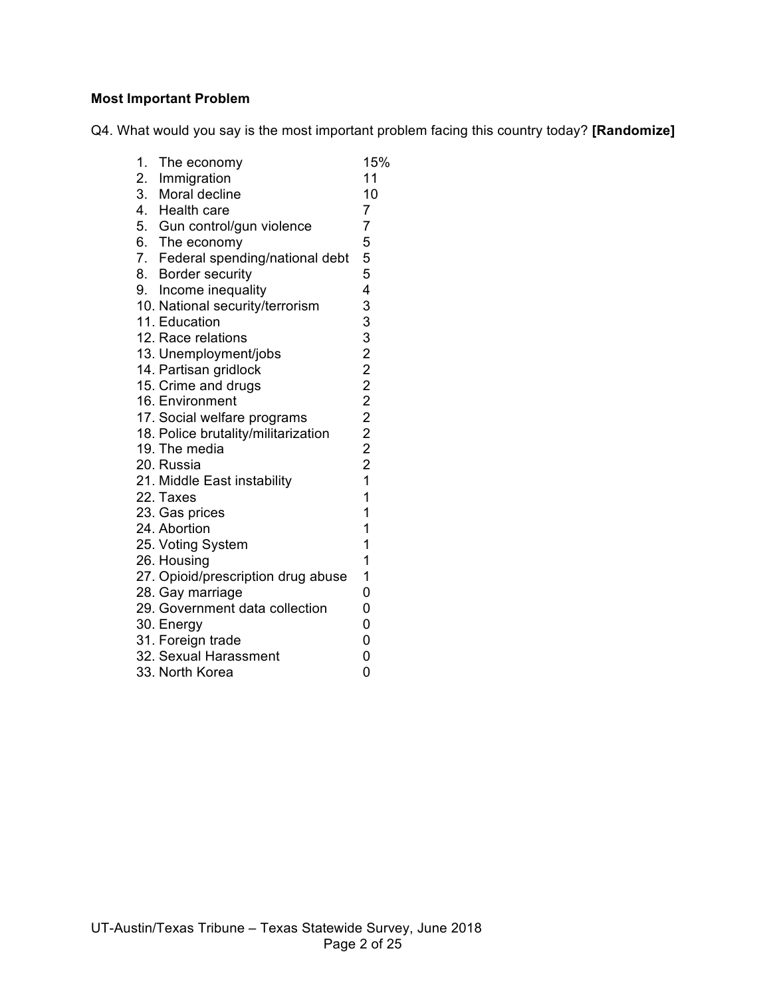## **Most Important Problem**

Q4. What would you say is the most important problem facing this country today? **[Randomize]**

| 1. The economy                      | 15%                     |
|-------------------------------------|-------------------------|
| 2. Immigration                      | 11                      |
| 3. Moral decline                    | 10                      |
| 4. Health care                      | $\overline{7}$          |
| 5. Gun control/gun violence         | 7                       |
| 6. The economy                      | 5                       |
| 7. Federal spending/national debt   | 5                       |
| 8. Border security                  | 5                       |
| 9. Income inequality                | 4                       |
| 10. National security/terrorism     | 33322222221             |
| 11. Education                       |                         |
| 12. Race relations                  |                         |
| 13. Unemployment/jobs               |                         |
| 14. Partisan gridlock               |                         |
| 15. Crime and drugs                 |                         |
| 16. Environment                     |                         |
| 17. Social welfare programs         |                         |
| 18. Police brutality/militarization |                         |
| 19. The media                       |                         |
| 20. Russia                          |                         |
| 21. Middle East instability         |                         |
| 22. Taxes                           | $\overline{\mathbf{1}}$ |
| 23. Gas prices                      | $\mathbf{1}$            |
| 24. Abortion                        | $\overline{1}$          |
| 25. Voting System                   | 1                       |
| 26. Housing                         | 1                       |
| 27. Opioid/prescription drug abuse  | 1                       |
| 28. Gay marriage                    | $\overline{0}$          |
| 29. Government data collection      | $\overline{0}$          |
| 30. Energy                          | $\overline{0}$          |
| 31. Foreign trade                   | $\overline{0}$          |
| 32. Sexual Harassment               | 0                       |
| 33. North Korea                     | 0                       |
|                                     |                         |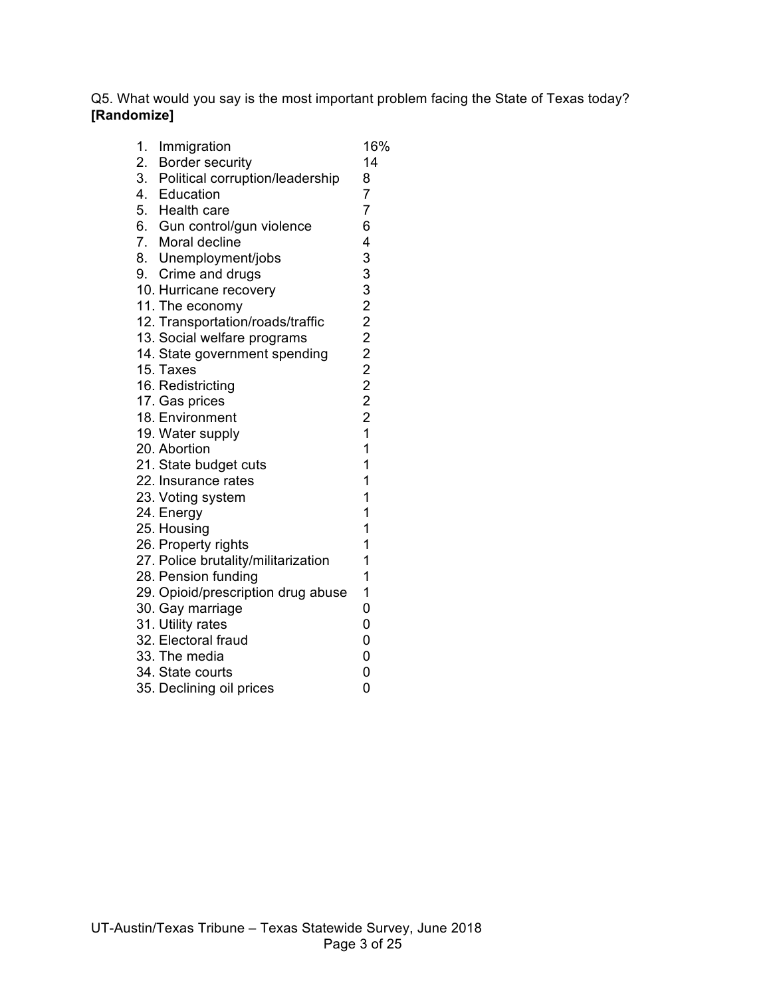Q5. What would you say is the most important problem facing the State of Texas today? **[Randomize]**

| 1. Immigration                                           | 16%                     |
|----------------------------------------------------------|-------------------------|
| 2. Border security<br>3. Political corruption/leadership | 14                      |
|                                                          | 8                       |
| 4. Education                                             | $\overline{7}$          |
| 5. Health care                                           | $\overline{7}$          |
| 6. Gun control/gun violence                              | 6                       |
| 7. Moral decline                                         | 4                       |
| 8. Unemployment/jobs                                     | 33322222221             |
| 9. Crime and drugs                                       |                         |
| 10. Hurricane recovery                                   |                         |
| 11. The economy                                          |                         |
| 12. Transportation/roads/traffic                         |                         |
| 13. Social welfare programs                              |                         |
| 14. State government spending                            |                         |
| 15. Taxes                                                |                         |
| 16. Redistricting                                        |                         |
| 17. Gas prices                                           |                         |
| 18. Environment                                          |                         |
| 19. Water supply                                         |                         |
| 20. Abortion                                             | $\overline{\mathbf{1}}$ |
| 21. State budget cuts                                    | 1                       |
| 22. Insurance rates                                      | 1                       |
| 23. Voting system                                        | 1                       |
| 24. Energy                                               | 1                       |
| 25. Housing                                              | 1                       |
| 26. Property rights                                      | 1                       |
| 27. Police brutality/militarization                      | 1                       |
| 28. Pension funding                                      | 1                       |
| 29. Opioid/prescription drug abuse                       | 1                       |
| 30. Gay marriage                                         | 0                       |
| 31. Utility rates                                        | 0                       |
| 32. Electoral fraud                                      | $\overline{0}$          |
| 33. The media                                            | $\overline{0}$          |
| 34. State courts                                         | 0                       |
| 35. Declining oil prices                                 | 0                       |
|                                                          |                         |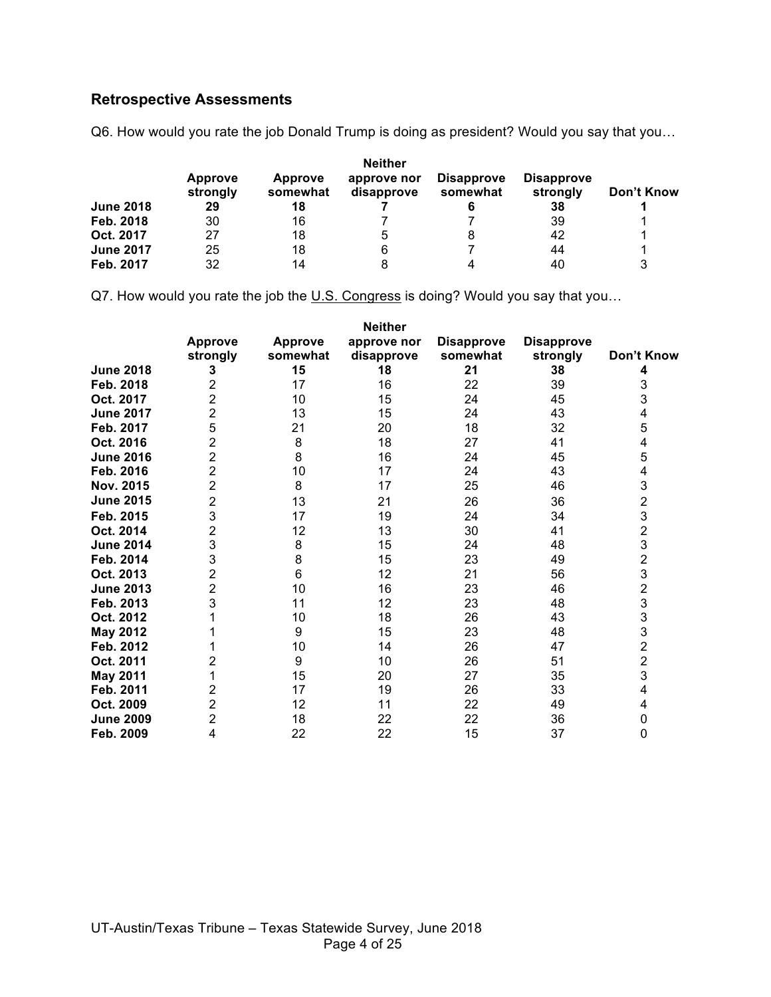# **Retrospective Assessments**

Q6. How would you rate the job Donald Trump is doing as president? Would you say that you…

|                  |                            |                     | <b>Neither</b>            |                               |                               |            |
|------------------|----------------------------|---------------------|---------------------------|-------------------------------|-------------------------------|------------|
|                  | <b>Approve</b><br>strongly | Approve<br>somewhat | approve nor<br>disapprove | <b>Disapprove</b><br>somewhat | <b>Disapprove</b><br>strongly | Don't Know |
| <b>June 2018</b> | 29                         | 18                  |                           |                               | 38                            |            |
| Feb. 2018        | 30                         | 16                  |                           |                               | 39                            |            |
| Oct. 2017        | 27                         | 18                  | h                         | 8                             | 42                            | 1          |
| <b>June 2017</b> | 25                         | 18                  |                           |                               | 44                            | 1          |
| Feb. 2017        | 32                         | 14                  |                           |                               | 40                            | 3          |

Q7. How would you rate the job the U.S. Congress is doing? Would you say that you...

|                  |                            |                            | <b>Neither</b>            |                               |                               |                |
|------------------|----------------------------|----------------------------|---------------------------|-------------------------------|-------------------------------|----------------|
|                  | <b>Approve</b><br>strongly | <b>Approve</b><br>somewhat | approve nor<br>disapprove | <b>Disapprove</b><br>somewhat | <b>Disapprove</b><br>strongly | Don't Know     |
| <b>June 2018</b> | 3                          | 15                         | 18                        | 21                            | 38                            | 4              |
| Feb. 2018        | 2                          | 17                         | 16                        | 22                            | 39                            | 3              |
| Oct. 2017        | $\overline{2}$             | 10                         | 15                        | 24                            | 45                            | 3              |
| <b>June 2017</b> | 2                          | 13                         | 15                        | 24                            | 43                            | 4              |
| Feb. 2017        | 5                          | 21                         | 20                        | 18                            | 32                            | 5              |
| Oct. 2016        | 2                          | 8                          | 18                        | 27                            | 41                            | 4              |
| <b>June 2016</b> | 2                          | 8                          | 16                        | 24                            | 45                            | 5              |
| Feb. 2016        | $\overline{2}$             | 10                         | 17                        | 24                            | 43                            | 4              |
| Nov. 2015        | 2                          | 8                          | 17                        | 25                            | 46                            | 3              |
| <b>June 2015</b> | 2                          | 13                         | 21                        | 26                            | 36                            |                |
| Feb. 2015        | 3                          | 17                         | 19                        | 24                            | 34                            | 2<br>3         |
| Oct. 2014        | 2                          | 12                         | 13                        | 30                            | 41                            | $\overline{2}$ |
| <b>June 2014</b> | 3                          | 8                          | 15                        | 24                            | 48                            | 3              |
| Feb. 2014        | 3                          | 8                          | 15                        | 23                            | 49                            | $\overline{c}$ |
| Oct. 2013        | 2                          | 6                          | 12                        | 21                            | 56                            | 3              |
| <b>June 2013</b> | 2                          | 10                         | 16                        | 23                            | 46                            | $\overline{c}$ |
| Feb. 2013        | 3                          | 11                         | 12                        | 23                            | 48                            | 3              |
| Oct. 2012        |                            | 10                         | 18                        | 26                            | 43                            | 3              |
| <b>May 2012</b>  |                            | 9                          | 15                        | 23                            | 48                            | 3              |
| Feb. 2012        |                            | 10                         | 14                        | 26                            | 47                            | $\overline{2}$ |
| Oct. 2011        | 2                          | 9                          | 10                        | 26                            | 51                            | $\overline{2}$ |
| <b>May 2011</b>  |                            | 15                         | 20                        | 27                            | 35                            | 3              |
| Feb. 2011        | 2                          | 17                         | 19                        | 26                            | 33                            | 4              |
| Oct. 2009        | 2                          | 12                         | 11                        | 22                            | 49                            | 4              |
| <b>June 2009</b> | 2                          | 18                         | 22                        | 22                            | 36                            | 0              |
| Feb. 2009        | 4                          | 22                         | 22                        | 15                            | 37                            | 0              |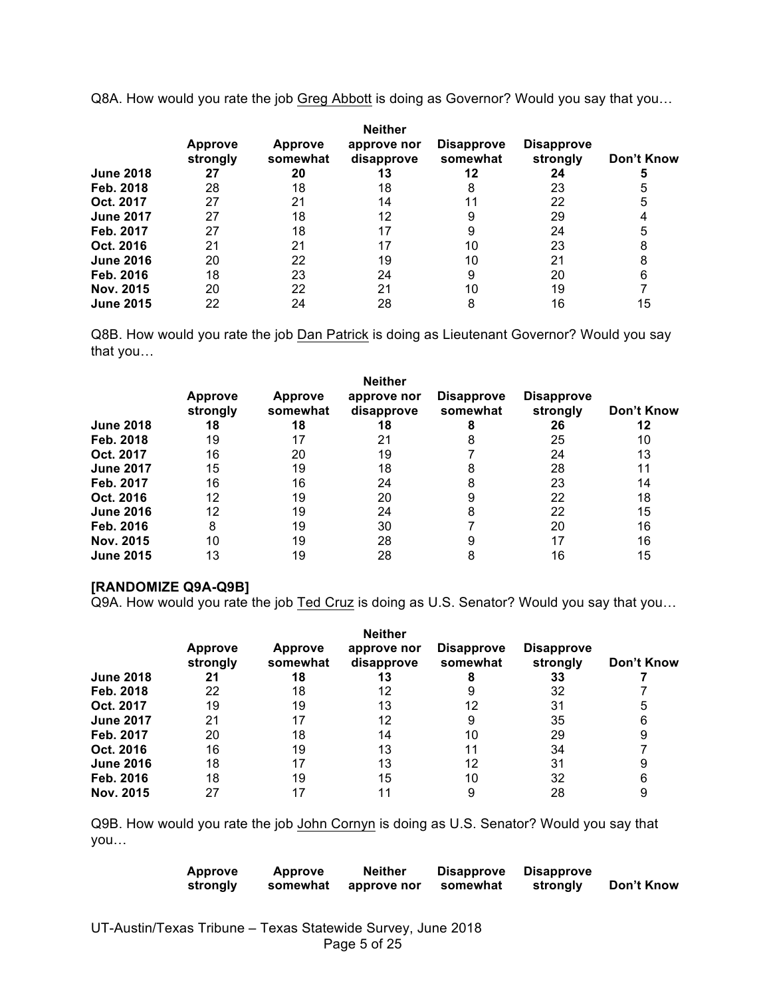Q8A. How would you rate the job Greg Abbott is doing as Governor? Would you say that you…

|                  | <b>Approve</b><br>strongly | <b>Approve</b><br>somewhat | <b>Neither</b><br>approve nor<br>disapprove | <b>Disapprove</b><br>somewhat | <b>Disapprove</b><br>strongly | Don't Know |
|------------------|----------------------------|----------------------------|---------------------------------------------|-------------------------------|-------------------------------|------------|
| <b>June 2018</b> | 27                         | 20                         | 13                                          | 12                            | 24                            | 5          |
| Feb. 2018        | 28                         | 18                         | 18                                          | 8                             | 23                            | 5          |
| Oct. 2017        | 27                         | 21                         | 14                                          |                               | 22                            | 5          |
| <b>June 2017</b> | 27                         | 18                         | 12                                          | 9                             | 29                            |            |
| Feb. 2017        | 27                         | 18                         | 17                                          |                               | 24                            | 5          |
| Oct. 2016        | 21                         | 21                         | 17                                          | 10                            | 23                            | 8          |
| <b>June 2016</b> | 20                         | 22                         | 19                                          | 10                            | 21                            | 8          |
| Feb. 2016        | 18                         | 23                         | 24                                          | 9                             | 20                            | 6          |
| Nov. 2015        | 20                         | 22                         | 21                                          | 10                            | 19                            |            |
| <b>June 2015</b> | 22                         | 24                         | 28                                          | 8                             | 16                            | 15         |

Q8B. How would you rate the job Dan Patrick is doing as Lieutenant Governor? Would you say that you…

|                  |                            |                            | <b>Neither</b>            |                               |                               |            |
|------------------|----------------------------|----------------------------|---------------------------|-------------------------------|-------------------------------|------------|
|                  | <b>Approve</b><br>strongly | <b>Approve</b><br>somewhat | approve nor<br>disapprove | <b>Disapprove</b><br>somewhat | <b>Disapprove</b><br>strongly | Don't Know |
| <b>June 2018</b> | 18                         | 18                         | 18                        |                               | 26                            | 12         |
| Feb. 2018        | 19                         | 17                         | 21                        |                               | 25                            | 10         |
| Oct. 2017        | 16                         | 20                         | 19                        |                               | 24                            | 13         |
| <b>June 2017</b> | 15                         | 19                         | 18                        |                               | 28                            | 11         |
| Feb. 2017        | 16                         | 16                         | 24                        |                               | 23                            | 14         |
| Oct. 2016        | 12                         | 19                         | 20                        |                               | 22                            | 18         |
| <b>June 2016</b> | 12                         | 19                         | 24                        | 8                             | 22                            | 15         |
| Feb. 2016        | 8                          | 19                         | 30                        |                               | 20                            | 16         |
| Nov. 2015        | 10                         | 19                         | 28                        |                               | 17                            | 16         |
| <b>June 2015</b> | 13                         | 19                         | 28                        |                               | 16                            | 15         |

#### **[RANDOMIZE Q9A-Q9B]**

Q9A. How would you rate the job Ted Cruz is doing as U.S. Senator? Would you say that you…

|                  |                            |                            | <b>Neither</b>            |                               |                               |            |
|------------------|----------------------------|----------------------------|---------------------------|-------------------------------|-------------------------------|------------|
|                  | <b>Approve</b><br>strongly | <b>Approve</b><br>somewhat | approve nor<br>disapprove | <b>Disapprove</b><br>somewhat | <b>Disapprove</b><br>strongly | Don't Know |
| <b>June 2018</b> | 21                         | 18                         | 13                        |                               | 33                            |            |
| Feb. 2018        | 22                         | 18                         | 12                        |                               | 32                            |            |
| Oct. 2017        | 19                         | 19                         | 13                        | 12                            | 31                            | 5          |
| <b>June 2017</b> | 21                         | 17                         | 12                        | 9                             | 35                            | 6          |
| Feb. 2017        | 20                         | 18                         | 14                        | 10                            | 29                            | 9          |
| Oct. 2016        | 16                         | 19                         | 13                        | 11                            | 34                            |            |
| <b>June 2016</b> | 18                         | 17                         | 13                        | 12                            | 31                            | 9          |
| Feb. 2016        | 18                         | 19                         | 15                        | 10                            | 32                            | 6          |
| Nov. 2015        | 27                         | 17                         |                           |                               | 28                            | 9          |

Q9B. How would you rate the job John Cornyn is doing as U.S. Senator? Would you say that you…

| <b>Approve</b> | Approve  | <b>Neither</b> | <b>Disapprove</b> | <b>Disapprove</b> |            |
|----------------|----------|----------------|-------------------|-------------------|------------|
| strongly       | somewhat | approve nor    | somewhat          | strongly          | Don't Know |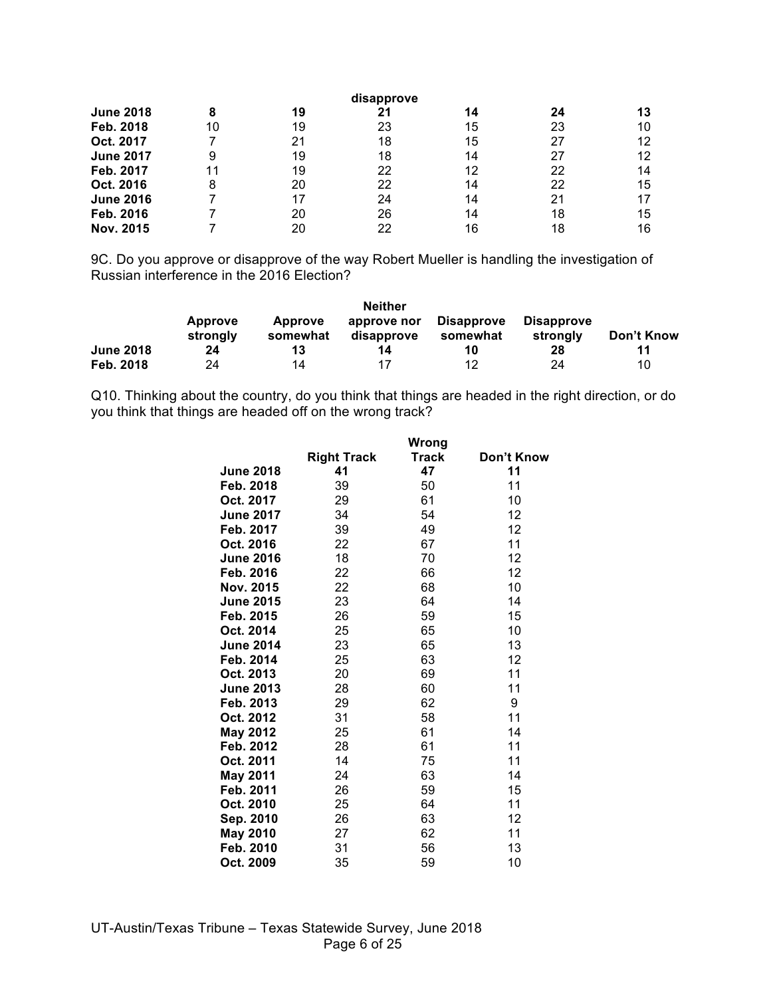| disapprove       |    |    |    |    |    |    |
|------------------|----|----|----|----|----|----|
| <b>June 2018</b> | 8  | 19 | 21 | 14 | 24 | 13 |
| Feb. 2018        | 10 | 19 | 23 | 15 | 23 | 10 |
| Oct. 2017        |    | 21 | 18 | 15 | 27 | 12 |
| <b>June 2017</b> | 9  | 19 | 18 | 14 | 27 | 12 |
| Feb. 2017        | 11 | 19 | 22 | 12 | 22 | 14 |
| Oct. 2016        | 8  | 20 | 22 | 14 | 22 | 15 |
| <b>June 2016</b> |    | 17 | 24 | 14 | 21 |    |
| Feb. 2016        |    | 20 | 26 | 14 | 18 | 15 |
| Nov. 2015        |    | 20 | 22 | 16 | 18 | 16 |

9C. Do you approve or disapprove of the way Robert Mueller is handling the investigation of Russian interference in the 2016 Election?

|                  |                            |                     | <b>Neither</b>            |                               |                               |            |
|------------------|----------------------------|---------------------|---------------------------|-------------------------------|-------------------------------|------------|
|                  | <b>Approve</b><br>strongly | Approve<br>somewhat | approve nor<br>disapprove | <b>Disapprove</b><br>somewhat | <b>Disapprove</b><br>strongly | Don't Know |
| <b>June 2018</b> | 24                         | 13                  | 14                        | 10                            | 28                            | 11         |
| Feb. 2018        | 24                         | 14                  |                           | 12                            | 24                            | 10         |

Q10. Thinking about the country, do you think that things are headed in the right direction, or do you think that things are headed off on the wrong track?

**Wrong** 

|                  |                    | www          |            |
|------------------|--------------------|--------------|------------|
|                  | <b>Right Track</b> | <b>Track</b> | Don't Know |
| <b>June 2018</b> | 41                 | 47           | 11         |
| Feb. 2018        | 39                 | 50           | 11         |
| Oct. 2017        | 29                 | 61           | 10         |
| <b>June 2017</b> | 34                 | 54           | 12         |
| Feb. 2017        | 39                 | 49           | 12         |
| Oct. 2016        | 22                 | 67           | 11         |
| <b>June 2016</b> | 18                 | 70           | 12         |
| Feb. 2016        | 22                 | 66           | 12         |
| Nov. 2015        | 22                 | 68           | 10         |
| <b>June 2015</b> | 23                 | 64           | 14         |
| Feb. 2015        | 26                 | 59           | 15         |
| Oct. 2014        | 25                 | 65           | 10         |
| <b>June 2014</b> | 23                 | 65           | 13         |
| Feb. 2014        | 25                 | 63           | 12         |
| Oct. 2013        | 20                 | 69           | 11         |
| <b>June 2013</b> | 28                 | 60           | 11         |
| Feb. 2013        | 29                 | 62           | 9          |
| Oct. 2012        | 31                 | 58           | 11         |
| <b>May 2012</b>  | 25                 | 61           | 14         |
| Feb. 2012        | 28                 | 61           | 11         |
| Oct. 2011        | 14                 | 75           | 11         |
| <b>May 2011</b>  | 24                 | 63           | 14         |
| Feb. 2011        | 26                 | 59           | 15         |
| Oct. 2010        | 25                 | 64           | 11         |
| Sep. 2010        | 26                 | 63           | 12         |
| <b>May 2010</b>  | 27                 | 62           | 11         |
| Feb. 2010        | 31                 | 56           | 13         |
| Oct. 2009        | 35                 | 59           | 10         |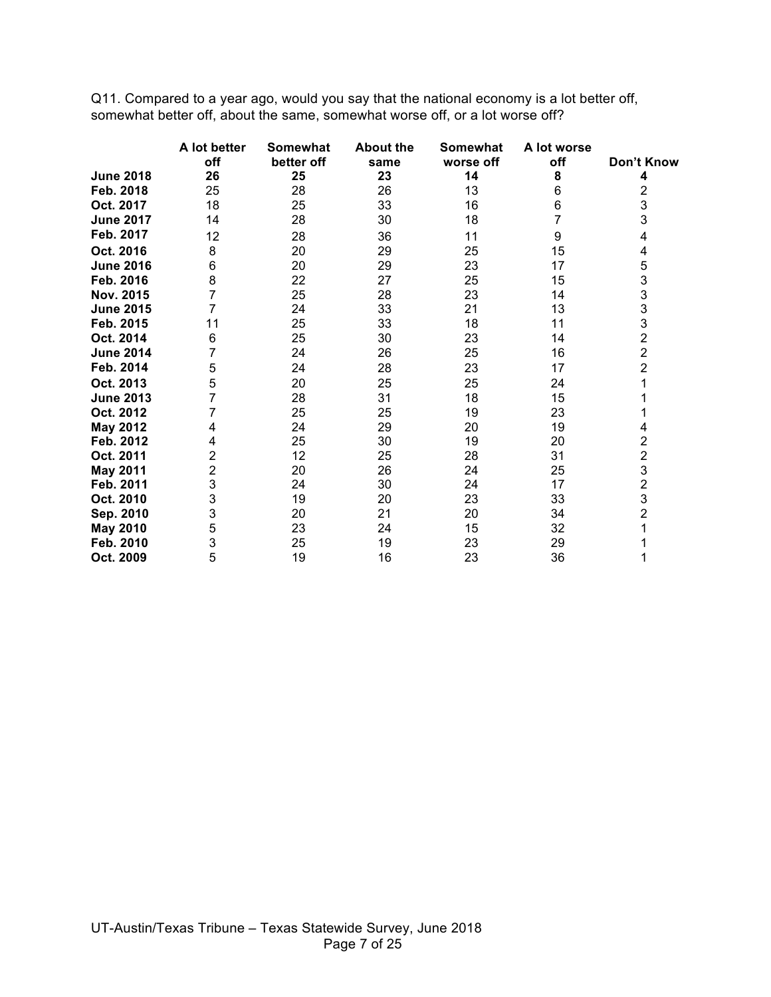Q11. Compared to a year ago, would you say that the national economy is a lot better off, somewhat better off, about the same, somewhat worse off, or a lot worse off?

|                  | A lot better | Somewhat   | <b>About the</b> | <b>Somewhat</b> | A lot worse |                                                   |
|------------------|--------------|------------|------------------|-----------------|-------------|---------------------------------------------------|
|                  | off          | better off | same             | worse off       | off         | Don't Know                                        |
| <b>June 2018</b> | 26           | 25         | 23               | 14              | 8           | 4                                                 |
| Feb. 2018        | 25           | 28         | 26               | 13              | 6           | 2                                                 |
| Oct. 2017        | 18           | 25         | 33               | 16              | 6           | 3                                                 |
| <b>June 2017</b> | 14           | 28         | 30               | 18              |             | 3                                                 |
| Feb. 2017        | 12           | 28         | 36               | 11              | 9           | 4                                                 |
| Oct. 2016        | 8            | 20         | 29               | 25              | 15          | 4                                                 |
| <b>June 2016</b> | 6            | 20         | 29               | 23              | 17          | 5                                                 |
| Feb. 2016        | 8            | 22         | 27               | 25              | 15          | 3                                                 |
| Nov. 2015        | 7            | 25         | 28               | 23              | 14          | $\frac{3}{3}$                                     |
| <b>June 2015</b> | 7            | 24         | 33               | 21              | 13          |                                                   |
| Feb. 2015        | 11           | 25         | 33               | 18              | 11          | $\frac{3}{2}$                                     |
| Oct. 2014        | 6            | 25         | 30               | 23              | 14          |                                                   |
| <b>June 2014</b> | 7            | 24         | 26               | 25              | 16          | $\overline{2}$                                    |
| Feb. 2014        | 5            | 24         | 28               | 23              | 17          | $\overline{c}$                                    |
| Oct. 2013        | 5            | 20         | 25               | 25              | 24          |                                                   |
| <b>June 2013</b> | 7            | 28         | 31               | 18              | 15          |                                                   |
| Oct. 2012        |              | 25         | 25               | 19              | 23          |                                                   |
| <b>May 2012</b>  | 4            | 24         | 29               | 20              | 19          | 4                                                 |
| Feb. 2012        | 4            | 25         | 30               | 19              | 20          |                                                   |
| Oct. 2011        | 2            | 12         | 25               | 28              | 31          | $\begin{array}{c}\n2 \\ 2 \\ 3 \\ 2\n\end{array}$ |
| <b>May 2011</b>  | 2            | 20         | 26               | 24              | 25          |                                                   |
| Feb. 2011        | 3            | 24         | 30               | 24              | 17          |                                                   |
| Oct. 2010        | 3            | 19         | 20               | 23              | 33          | 3                                                 |
| Sep. 2010        | 3            | 20         | 21               | 20              | 34          | $\overline{c}$                                    |
| <b>May 2010</b>  | 5            | 23         | 24               | 15              | 32          |                                                   |
| Feb. 2010        | 3            | 25         | 19               | 23              | 29          |                                                   |
| Oct. 2009        | 5            | 19         | 16               | 23              | 36          |                                                   |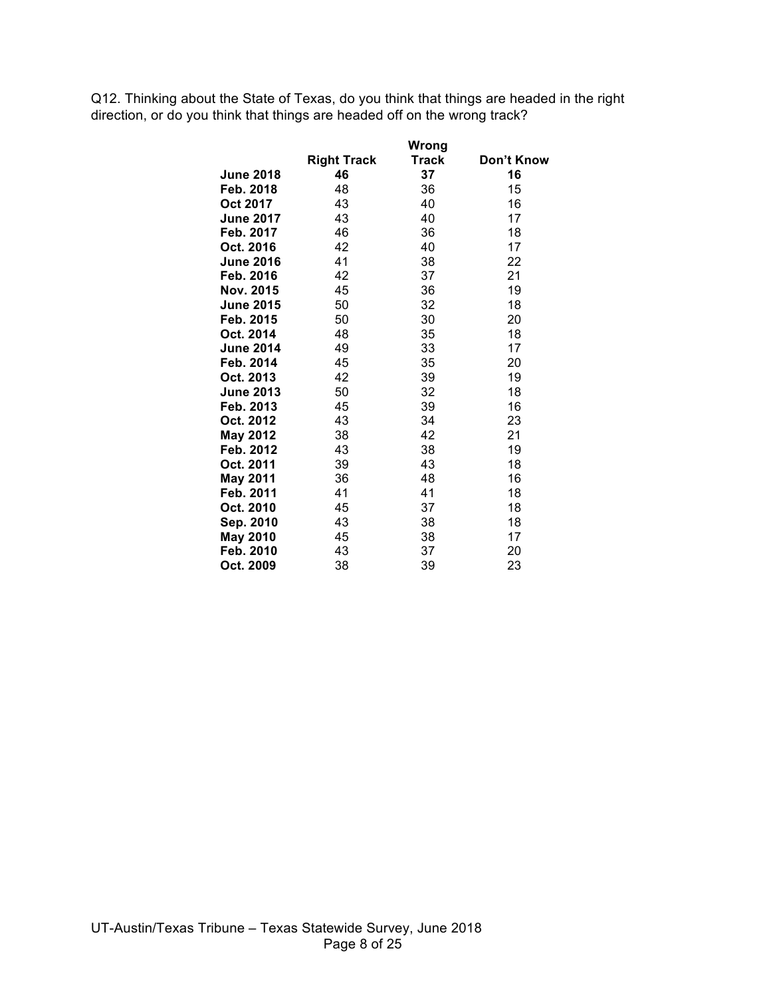Q12. Thinking about the State of Texas, do you think that things are headed in the right direction, or do you think that things are headed off on the wrong track?

|                  |                    | Wrong |            |
|------------------|--------------------|-------|------------|
|                  | <b>Right Track</b> | Track | Don't Know |
| <b>June 2018</b> | 46                 | 37    | 16         |
| Feb. 2018        | 48                 | 36    | 15         |
| Oct 2017         | 43                 | 40    | 16         |
| <b>June 2017</b> | 43                 | 40    | 17         |
| Feb. 2017        | 46                 | 36    | 18         |
| Oct. 2016        | 42                 | 40    | 17         |
| <b>June 2016</b> | 41                 | 38    | 22         |
| Feb. 2016        | 42                 | 37    | 21         |
| Nov. 2015        | 45                 | 36    | 19         |
| <b>June 2015</b> | 50                 | 32    | 18         |
| Feb. 2015        | 50                 | 30    | 20         |
| Oct. 2014        | 48                 | 35    | 18         |
| <b>June 2014</b> | 49                 | 33    | 17         |
| Feb. 2014        | 45                 | 35    | 20         |
| Oct. 2013        | 42                 | 39    | 19         |
| <b>June 2013</b> | 50                 | 32    | 18         |
| Feb. 2013        | 45                 | 39    | 16         |
| Oct. 2012        | 43                 | 34    | 23         |
| <b>May 2012</b>  | 38                 | 42    | 21         |
| Feb. 2012        | 43                 | 38    | 19         |
| Oct. 2011        | 39                 | 43    | 18         |
| <b>May 2011</b>  | 36                 | 48    | 16         |
| Feb. 2011        | 41                 | 41    | 18         |
| Oct. 2010        | 45                 | 37    | 18         |
| Sep. 2010        | 43                 | 38    | 18         |
| <b>May 2010</b>  | 45                 | 38    | 17         |
| Feb. 2010        | 43                 | 37    | 20         |
| Oct. 2009        | 38                 | 39    | 23         |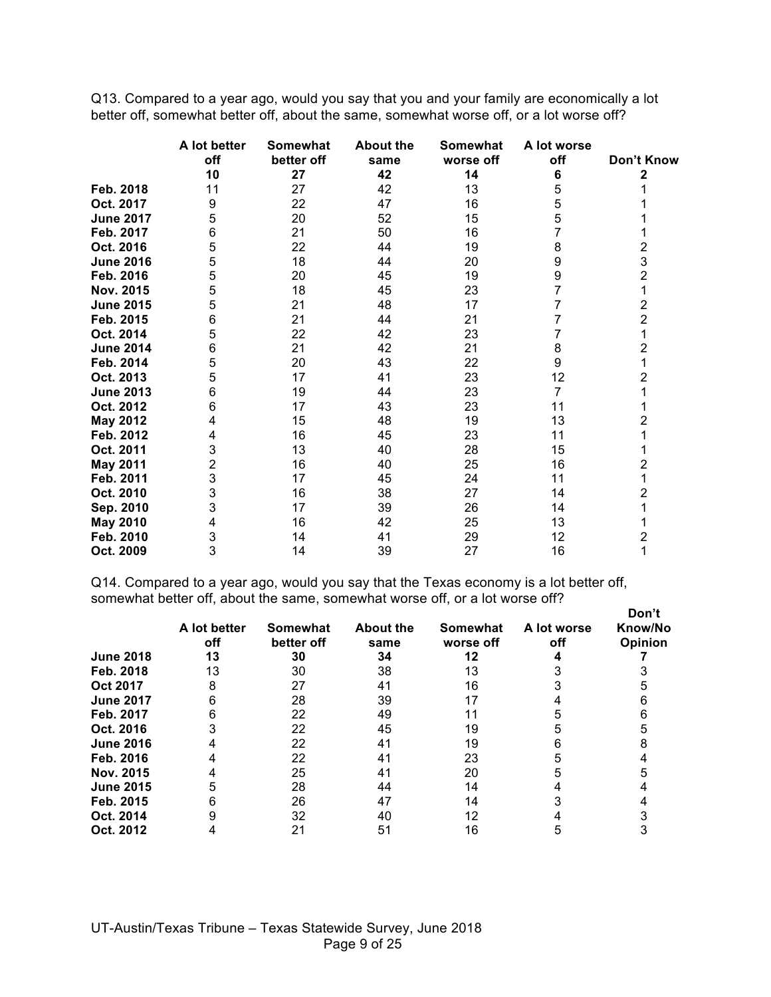Q13. Compared to a year ago, would you say that you and your family are economically a lot better off, somewhat better off, about the same, somewhat worse off, or a lot worse off?

|                  | A lot better | Somewhat   | <b>About the</b> | Somewhat  | A lot worse    |                |
|------------------|--------------|------------|------------------|-----------|----------------|----------------|
|                  | off          | better off | same             | worse off | off            | Don't Know     |
|                  | 10           | 27         | 42               | 14        | 6              | 2              |
| Feb. 2018        | 11           | 27         | 42               | 13        | 5              |                |
| Oct. 2017        | 9            | 22         | 47               | 16        | 5              |                |
| <b>June 2017</b> | 5            | 20         | 52               | 15        | 5              |                |
| Feb. 2017        | 6            | 21         | 50               | 16        | 7              |                |
| Oct. 2016        | 5            | 22         | 44               | 19        | 8              | 2              |
| <b>June 2016</b> | 5            | 18         | 44               | 20        | 9              | 3              |
| Feb. 2016        | 5            | 20         | 45               | 19        | 9              | $\overline{2}$ |
| Nov. 2015        | 5            | 18         | 45               | 23        | 7              |                |
| <b>June 2015</b> | 5            | 21         | 48               | 17        | 7              | $\overline{2}$ |
| Feb. 2015        | 6            | 21         | 44               | 21        |                | $\overline{2}$ |
| Oct. 2014        | 5            | 22         | 42               | 23        |                | 1              |
| <b>June 2014</b> | 6            | 21         | 42               | 21        | 8              | 2              |
| Feb. 2014        | 5            | 20         | 43               | 22        | 9              |                |
| Oct. 2013        | 5            | 17         | 41               | 23        | 12             | 2              |
| <b>June 2013</b> | 6            | 19         | 44               | 23        | $\overline{7}$ |                |
| Oct. 2012        | 6            | 17         | 43               | 23        | 11             |                |
| <b>May 2012</b>  | 4            | 15         | 48               | 19        | 13             | 2              |
| Feb. 2012        |              | 16         | 45               | 23        | 11             |                |
| Oct. 2011        | 3            | 13         | 40               | 28        | 15             |                |
| <b>May 2011</b>  | 2            | 16         | 40               | 25        | 16             | 2              |
| Feb. 2011        | 3            | 17         | 45               | 24        | 11             |                |
| Oct. 2010        | 3            | 16         | 38               | 27        | 14             | 2              |
| Sep. 2010        | 3            | 17         | 39               | 26        | 14             |                |
| <b>May 2010</b>  |              | 16         | 42               | 25        | 13             |                |
| Feb. 2010        | 3            | 14         | 41               | 29        | 12             | 2              |
| Oct. 2009        | 3            | 14         | 39               | 27        | 16             | 1              |

Q14. Compared to a year ago, would you say that the Texas economy is a lot better off, somewhat better off, about the same, somewhat worse off, or a lot worse off?

|                  | A lot better<br>off | Somewhat<br>better off | <b>About the</b><br>same | Somewhat<br>worse off | A lot worse<br>off | Don't<br>Know/No<br><b>Opinion</b> |
|------------------|---------------------|------------------------|--------------------------|-----------------------|--------------------|------------------------------------|
| <b>June 2018</b> | 13                  | 30                     | 34                       | 12                    |                    |                                    |
| Feb. 2018        | 13                  | 30                     | 38                       | 13                    |                    |                                    |
| Oct 2017         | 8                   | 27                     | 41                       | 16                    |                    |                                    |
| <b>June 2017</b> | 6                   | 28                     | 39                       |                       |                    |                                    |
| Feb. 2017        |                     | 22                     | 49                       |                       |                    |                                    |
| Oct. 2016        |                     | 22                     | 45                       | 19                    |                    |                                    |
| <b>June 2016</b> |                     | 22                     | 41                       | 19                    |                    |                                    |
| Feb. 2016        |                     | 22                     | 41                       | 23                    |                    |                                    |
| Nov. 2015        |                     | 25                     | 41                       | 20                    |                    |                                    |
| <b>June 2015</b> |                     | 28                     | 44                       | 14                    |                    |                                    |
| Feb. 2015        |                     | 26                     | 47                       | 14                    |                    |                                    |
| Oct. 2014        |                     | 32                     | 40                       | 12                    |                    |                                    |
| Oct. 2012        |                     | 21                     | 51                       | 16                    |                    |                                    |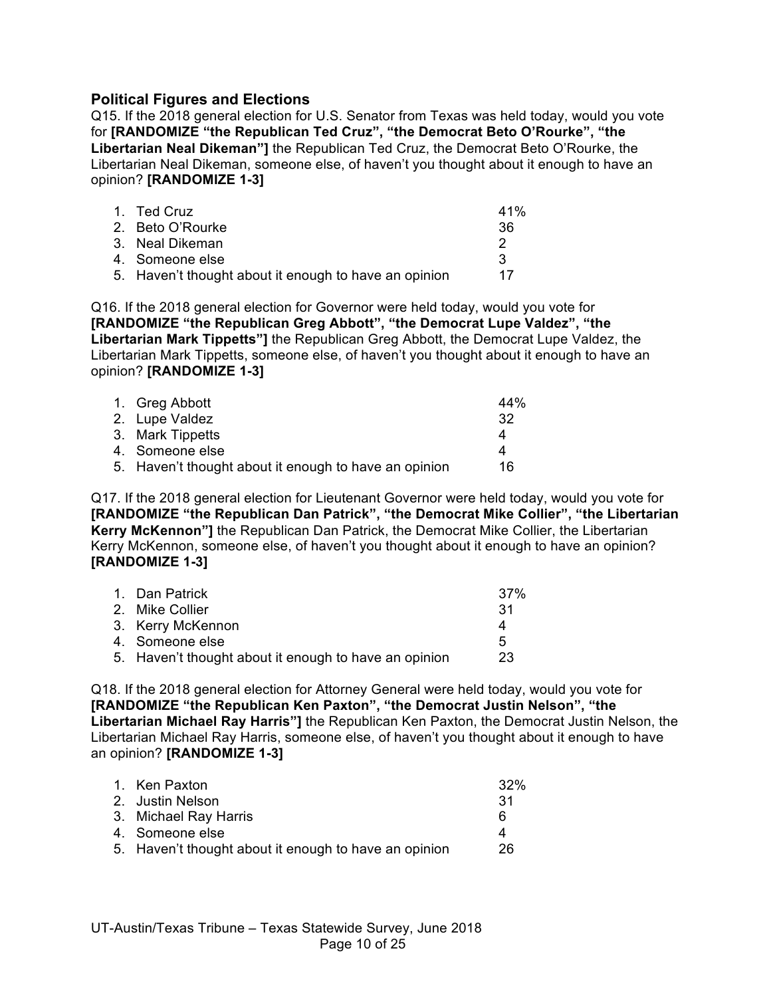## **Political Figures and Elections**

Q15. If the 2018 general election for U.S. Senator from Texas was held today, would you vote for **[RANDOMIZE "the Republican Ted Cruz", "the Democrat Beto O'Rourke", "the Libertarian Neal Dikeman"]** the Republican Ted Cruz, the Democrat Beto O'Rourke, the Libertarian Neal Dikeman, someone else, of haven't you thought about it enough to have an opinion? **[RANDOMIZE 1-3]**

| 1. Ted Cruz                                           | 41% |
|-------------------------------------------------------|-----|
| 2. Beto O'Rourke                                      | 36  |
| 3. Neal Dikeman                                       |     |
| 4. Someone else                                       | ્વ  |
| 5. Haven't thought about it enough to have an opinion | 17  |

Q16. If the 2018 general election for Governor were held today, would you vote for **[RANDOMIZE "the Republican Greg Abbott", "the Democrat Lupe Valdez", "the Libertarian Mark Tippetts"]** the Republican Greg Abbott, the Democrat Lupe Valdez, the Libertarian Mark Tippetts, someone else, of haven't you thought about it enough to have an opinion? **[RANDOMIZE 1-3]**

| 1. Greg Abbott                                        | 44% |
|-------------------------------------------------------|-----|
| 2. Lupe Valdez                                        | -32 |
| 3. Mark Tippetts                                      | Δ   |
| 4. Someone else                                       |     |
| 5. Haven't thought about it enough to have an opinion | 16  |

Q17. If the 2018 general election for Lieutenant Governor were held today, would you vote for **[RANDOMIZE "the Republican Dan Patrick", "the Democrat Mike Collier", "the Libertarian Kerry McKennon"]** the Republican Dan Patrick, the Democrat Mike Collier, the Libertarian Kerry McKennon, someone else, of haven't you thought about it enough to have an opinion? **[RANDOMIZE 1-3]**

| 1. Dan Patrick                                        | 37% |
|-------------------------------------------------------|-----|
| 2. Mike Collier                                       | -31 |
| 3. Kerry McKennon                                     | Δ   |
| 4. Someone else                                       | 5   |
| 5. Haven't thought about it enough to have an opinion | 23  |
|                                                       |     |

Q18. If the 2018 general election for Attorney General were held today, would you vote for **[RANDOMIZE "the Republican Ken Paxton", "the Democrat Justin Nelson", "the Libertarian Michael Ray Harris"]** the Republican Ken Paxton, the Democrat Justin Nelson, the Libertarian Michael Ray Harris, someone else, of haven't you thought about it enough to have an opinion? **[RANDOMIZE 1-3]**

| 1. Ken Paxton                                         | 32% |
|-------------------------------------------------------|-----|
| 2. Justin Nelson                                      | -31 |
| 3. Michael Ray Harris                                 | 6   |
| 4. Someone else                                       | 4   |
| 5. Haven't thought about it enough to have an opinion | 26  |
|                                                       |     |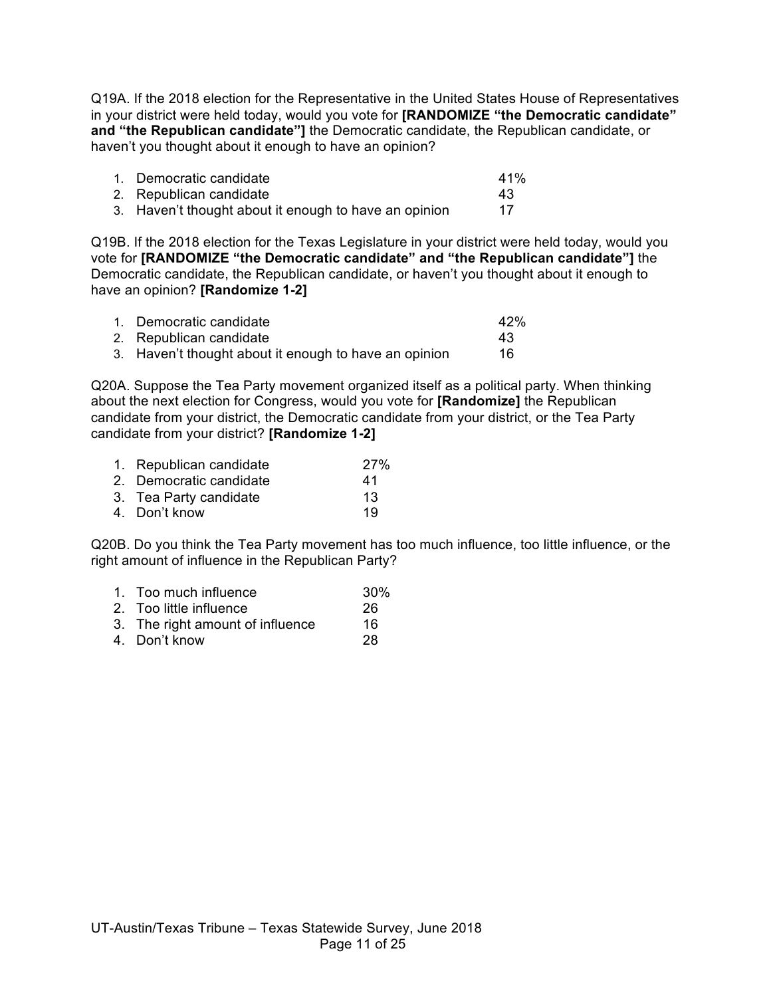Q19A. If the 2018 election for the Representative in the United States House of Representatives in your district were held today, would you vote for **[RANDOMIZE "the Democratic candidate" and "the Republican candidate"]** the Democratic candidate, the Republican candidate, or haven't you thought about it enough to have an opinion?

| 1. Democratic candidate                               | 41% |
|-------------------------------------------------------|-----|
| 2. Republican candidate                               | 43  |
| 3. Haven't thought about it enough to have an opinion |     |

Q19B. If the 2018 election for the Texas Legislature in your district were held today, would you vote for **[RANDOMIZE "the Democratic candidate" and "the Republican candidate"]** the Democratic candidate, the Republican candidate, or haven't you thought about it enough to have an opinion? **[Randomize 1-2]**

| 1. Democratic candidate                               | 42% |
|-------------------------------------------------------|-----|
| 2. Republican candidate                               | 43  |
| 3. Haven't thought about it enough to have an opinion | 16  |

Q20A. Suppose the Tea Party movement organized itself as a political party. When thinking about the next election for Congress, would you vote for **[Randomize]** the Republican candidate from your district, the Democratic candidate from your district, or the Tea Party candidate from your district? **[Randomize 1-2]**

| 1. Republican candidate | <b>27%</b> |
|-------------------------|------------|
| 2. Democratic candidate | 41         |
| 3. Tea Party candidate  | 13         |
| 4. Don't know           | 19         |

Q20B. Do you think the Tea Party movement has too much influence, too little influence, or the right amount of influence in the Republican Party?

- 1. Too much influence 30%
- 2. Too little influence 26
- 3. The right amount of influence 16
- 4. Don't know 28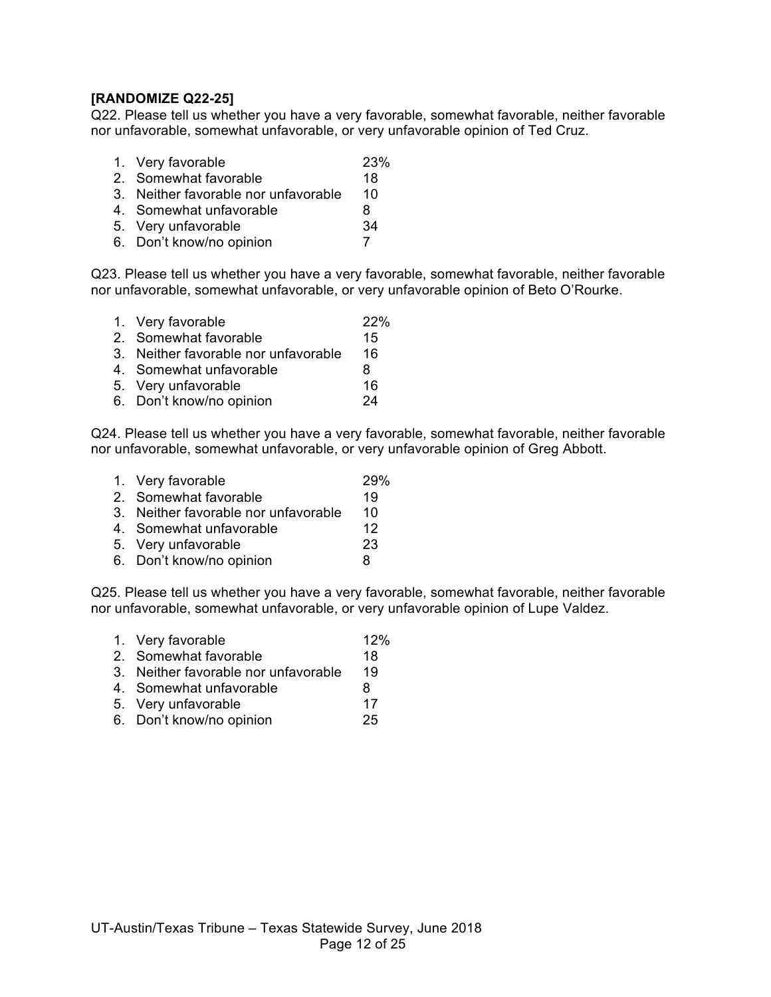#### **[RANDOMIZE Q22-25]**

Q22. Please tell us whether you have a very favorable, somewhat favorable, neither favorable nor unfavorable, somewhat unfavorable, or very unfavorable opinion of Ted Cruz.

- 1. Very favorable 23%
- 2. Somewhat favorable 18
- 3. Neither favorable nor unfavorable 10
- 4. Somewhat unfavorable 8
- 5. Very unfavorable 34
- 6. Don't know/no opinion 7

Q23. Please tell us whether you have a very favorable, somewhat favorable, neither favorable nor unfavorable, somewhat unfavorable, or very unfavorable opinion of Beto O'Rourke.

1. Very favorable 22% 2. Somewhat favorable 15 3. Neither favorable nor unfavorable 16 4. Somewhat unfavorable 8 5. Very unfavorable 16 6. Don't know/no opinion 24

Q24. Please tell us whether you have a very favorable, somewhat favorable, neither favorable nor unfavorable, somewhat unfavorable, or very unfavorable opinion of Greg Abbott.

- 1. Very favorable 29%
- 2. Somewhat favorable 19
- 3. Neither favorable nor unfavorable 10
- 4. Somewhat unfavorable 12
- 5. Very unfavorable 23
- 6. Don't know/no opinion 8

Q25. Please tell us whether you have a very favorable, somewhat favorable, neither favorable nor unfavorable, somewhat unfavorable, or very unfavorable opinion of Lupe Valdez.

- 1. Very favorable 12% 2. Somewhat favorable 18 3. Neither favorable nor unfavorable 19
- 4. Somewhat unfavorable and the 8
- 5. Very unfavorable 17
- 6. Don't know/no opinion 25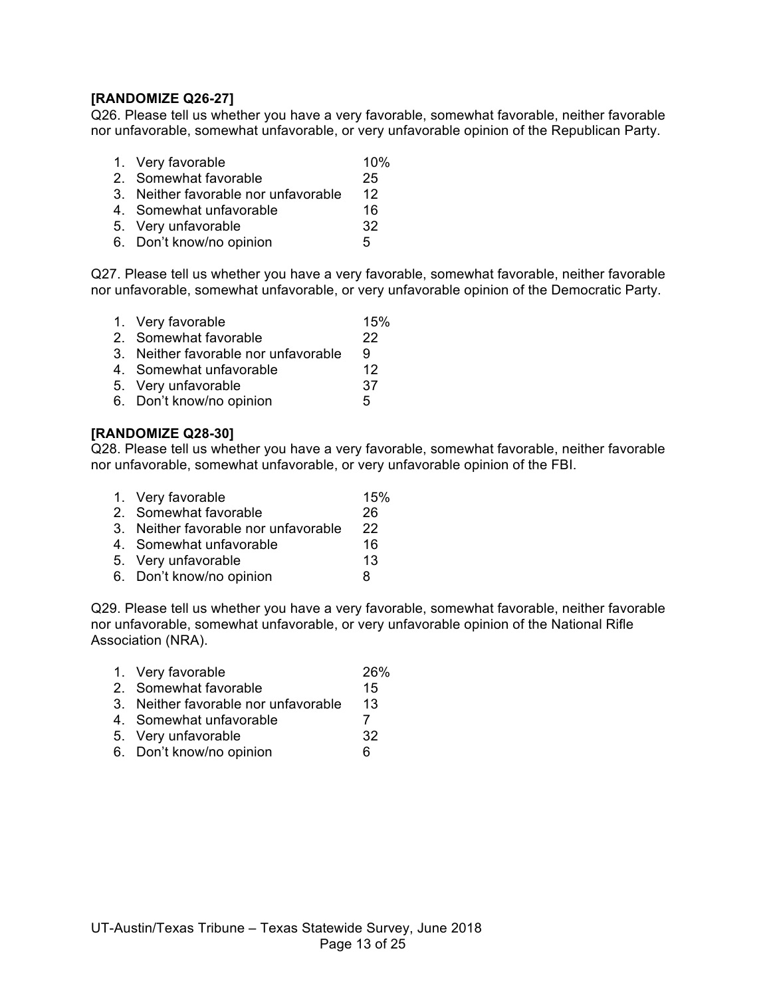## **[RANDOMIZE Q26-27]**

Q26. Please tell us whether you have a very favorable, somewhat favorable, neither favorable nor unfavorable, somewhat unfavorable, or very unfavorable opinion of the Republican Party.

- 1. Very favorable 10%
- 2. Somewhat favorable 25
- 3. Neither favorable nor unfavorable 12
- 4. Somewhat unfavorable 16
- 5. Very unfavorable 32
- 6. Don't know/no opinion 5

Q27. Please tell us whether you have a very favorable, somewhat favorable, neither favorable nor unfavorable, somewhat unfavorable, or very unfavorable opinion of the Democratic Party.

- 1. Very favorable 15%
- 2. Somewhat favorable 22
- 3. Neither favorable nor unfavorable 9
- 4. Somewhat unfavorable 12
- 5. Very unfavorable 37
- 6. Don't know/no opinion 5

#### **[RANDOMIZE Q28-30]**

Q28. Please tell us whether you have a very favorable, somewhat favorable, neither favorable nor unfavorable, somewhat unfavorable, or very unfavorable opinion of the FBI.

- 1. Very favorable 15%
- 2. Somewhat favorable 26
- 3. Neither favorable nor unfavorable 22
- 4. Somewhat unfavorable 16
- 5. Very unfavorable 13
- 6. Don't know/no opinion 8

Q29. Please tell us whether you have a very favorable, somewhat favorable, neither favorable nor unfavorable, somewhat unfavorable, or very unfavorable opinion of the National Rifle Association (NRA).

- 1. Very favorable 26%
- 2. Somewhat favorable 15
- 3. Neither favorable nor unfavorable 13
- 4. Somewhat unfavorable 7
- 5. Very unfavorable 32
- 6. Don't know/no opinion 6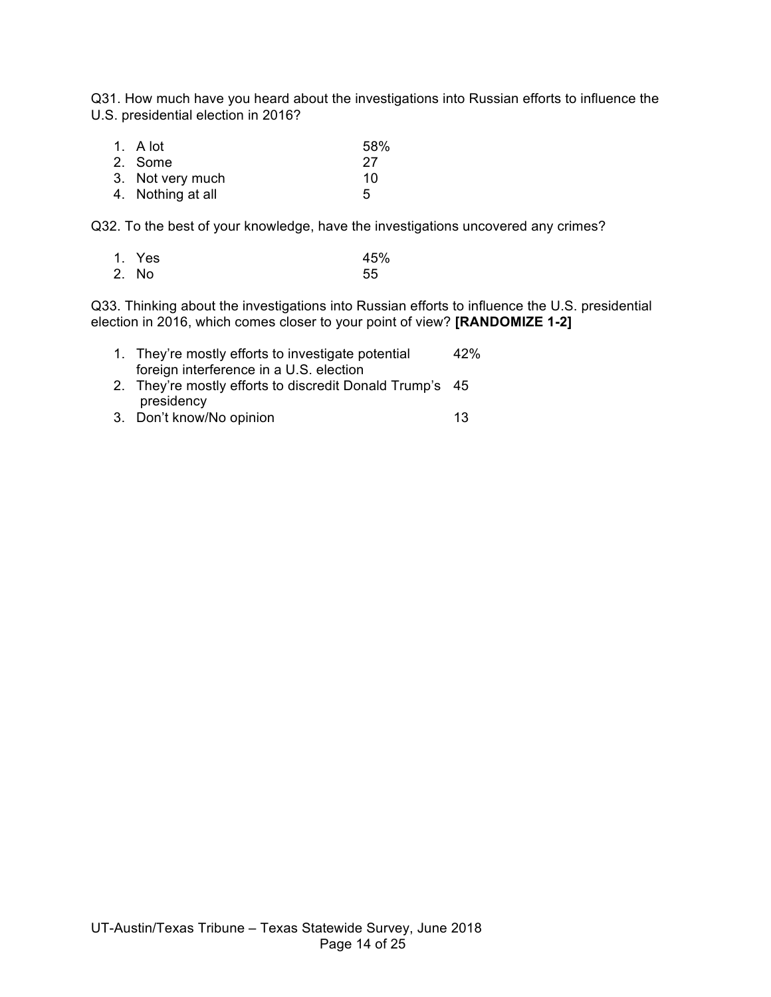Q31. How much have you heard about the investigations into Russian efforts to influence the U.S. presidential election in 2016?

| 1. A lot          | 58% |
|-------------------|-----|
| 2. Some           | 27  |
| 3. Not very much  | 10  |
| 4. Nothing at all | 5   |

Q32. To the best of your knowledge, have the investigations uncovered any crimes?

| 1. Yes | 45% |
|--------|-----|
| 2. No  | 55  |

Q33. Thinking about the investigations into Russian efforts to influence the U.S. presidential election in 2016, which comes closer to your point of view? **[RANDOMIZE 1-2]**

| 1. They're mostly efforts to investigate potential       | 42% |
|----------------------------------------------------------|-----|
| foreign interference in a U.S. election                  |     |
| 2. They're mostly efforts to discredit Donald Trump's 45 |     |
| presidency                                               |     |

3. Don't know/No opinion 13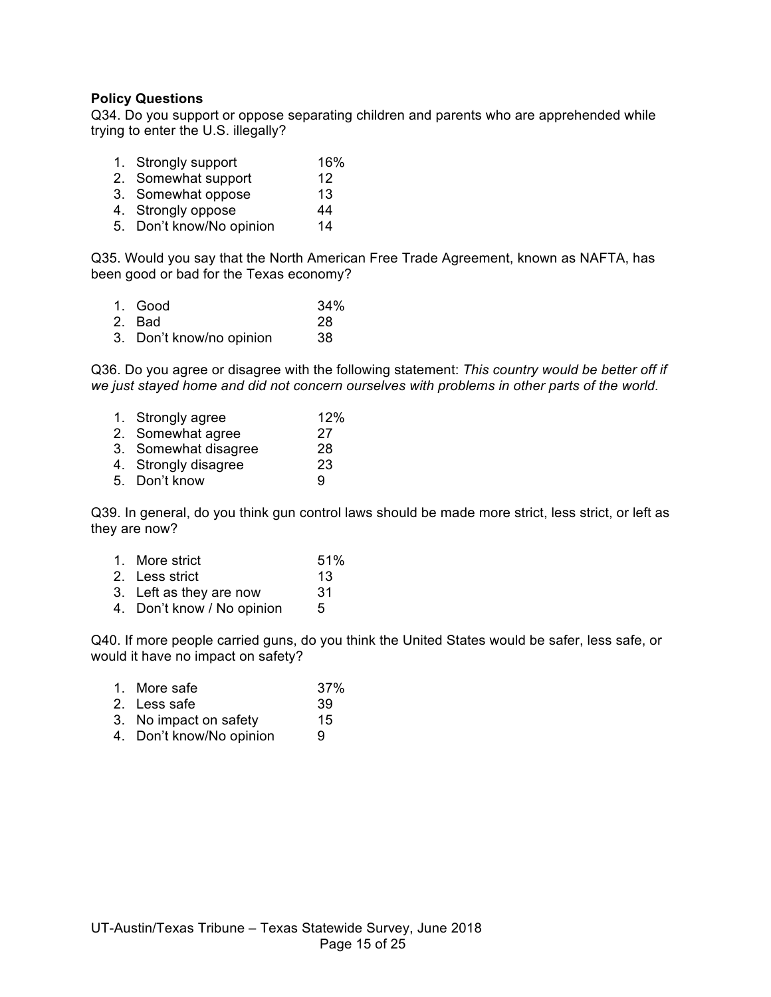#### **Policy Questions**

Q34. Do you support or oppose separating children and parents who are apprehended while trying to enter the U.S. illegally?

- 1. Strongly support 16%<br>
2. Somewhat support 12<br>
3. Somewhat oppose 13
- 2. Somewhat support 12
- 3. Somewhat oppose 13 4. Strongly oppose 44
- 5. Don't know/No opinion 14
- 

Q35. Would you say that the North American Free Trade Agreement, known as NAFTA, has been good or bad for the Texas economy?

| 1. Good                  | 34% |
|--------------------------|-----|
| 2. Bad                   | 28  |
| 3. Don't know/no opinion | 38  |

Q36. Do you agree or disagree with the following statement: *This country would be better off if we just stayed home and did not concern ourselves with problems in other parts of the world.*

| 1. Strongly agree    | 12% |
|----------------------|-----|
| 2. Somewhat agree    | 27  |
| 3. Somewhat disagree | 28  |
| 4. Strongly disagree | 23  |
| 5. Don't know        | g   |
|                      |     |

Q39. In general, do you think gun control laws should be made more strict, less strict, or left as they are now?

| 1. More strict          | 51% |
|-------------------------|-----|
| 2. Less strict          | 13  |
| 3. Left as they are now | 31  |

4. Don't know / No opinion 5

Q40. If more people carried guns, do you think the United States would be safer, less safe, or would it have no impact on safety?

| 1. More safe           | 37% |
|------------------------|-----|
| 2. Less safe           | 39  |
| 3. No impact on safety | 15  |

4. Don't know/No opinion 9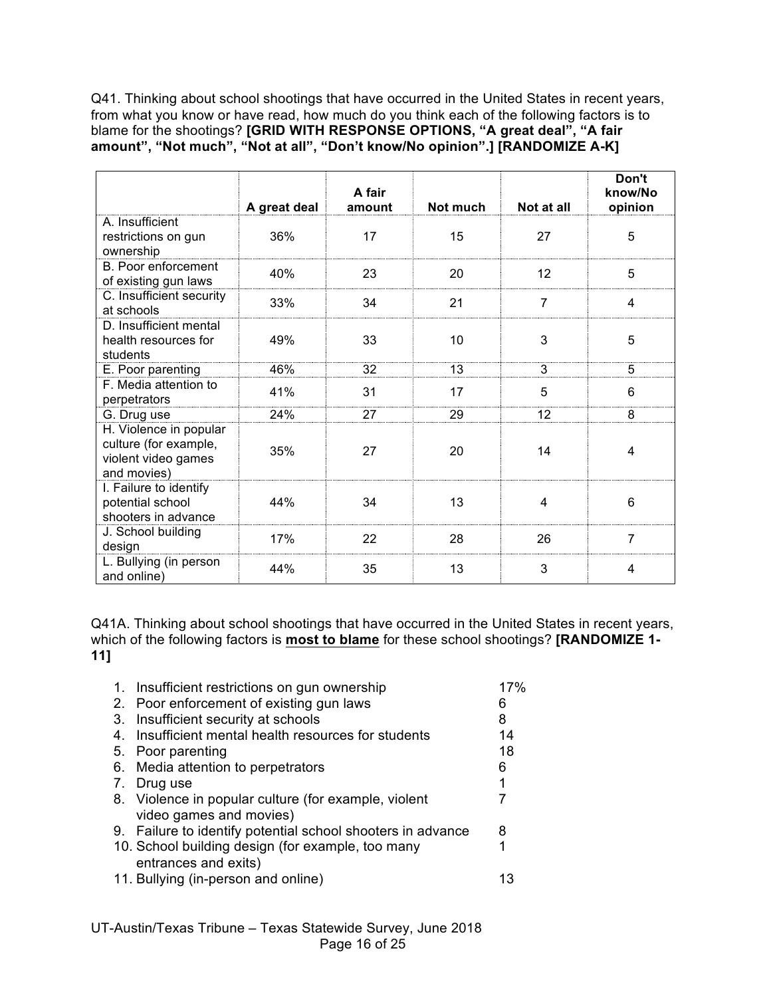Q41. Thinking about school shootings that have occurred in the United States in recent years, from what you know or have read, how much do you think each of the following factors is to blame for the shootings? **[GRID WITH RESPONSE OPTIONS, "A great deal", "A fair amount", "Not much", "Not at all", "Don't know/No opinion".] [RANDOMIZE A-K]**

|                                                                                       | A great deal | A fair<br>amount | Not much | Not at all     | Don't<br>know/No<br>opinion |
|---------------------------------------------------------------------------------------|--------------|------------------|----------|----------------|-----------------------------|
| A. Insufficient<br>restrictions on gun<br>ownership                                   | 36%          | 17               | 15       | 27             | 5                           |
| B. Poor enforcement<br>of existing gun laws                                           | 40%          | 23               | 20       | 12             | 5                           |
| C. Insufficient security<br>at schools                                                | 33%          | 34               | 21       | $\overline{7}$ | 4                           |
| D. Insufficient mental<br>health resources for<br>students                            | 49%          | 33               | 10       | 3              | 5                           |
| E. Poor parenting                                                                     | 46%          | 32               | 13       | 3              | 5                           |
| F. Media attention to<br>perpetrators                                                 | 41%          | 31               | 17       | 5              | 6                           |
| G. Drug use                                                                           | 24%          | 27               | 29       | 12             | 8                           |
| H. Violence in popular<br>culture (for example,<br>violent video games<br>and movies) | 35%          | 27               | 20       | 14             | 4                           |
| I. Failure to identify<br>potential school<br>shooters in advance                     | 44%          | 34               | 13       | 4              | 6                           |
| J. School building<br>design                                                          | 17%          | 22               | 28       | 26             | $\overline{7}$              |
| L. Bullying (in person<br>and online)                                                 | 44%          | 35               | 13       | 3              | 4                           |

Q41A. Thinking about school shootings that have occurred in the United States in recent years, which of the following factors is **most to blame** for these school shootings? **[RANDOMIZE 1- 11]**

|    | 1. Insufficient restrictions on gun ownership                             | 17% |
|----|---------------------------------------------------------------------------|-----|
|    | 2. Poor enforcement of existing gun laws                                  | 6   |
|    | 3. Insufficient security at schools                                       | 8   |
| 4. | Insufficient mental health resources for students                         | 14  |
| 5. | Poor parenting                                                            | 18  |
|    | 6. Media attention to perpetrators                                        | 6   |
| 7. | Drug use                                                                  | 1   |
|    | 8. Violence in popular culture (for example, violent                      |     |
|    | video games and movies)                                                   | 8   |
|    | 9. Failure to identify potential school shooters in advance               |     |
|    | 10. School building design (for example, too many<br>entrances and exits) | 1   |
|    | 11. Bullying (in-person and online)                                       |     |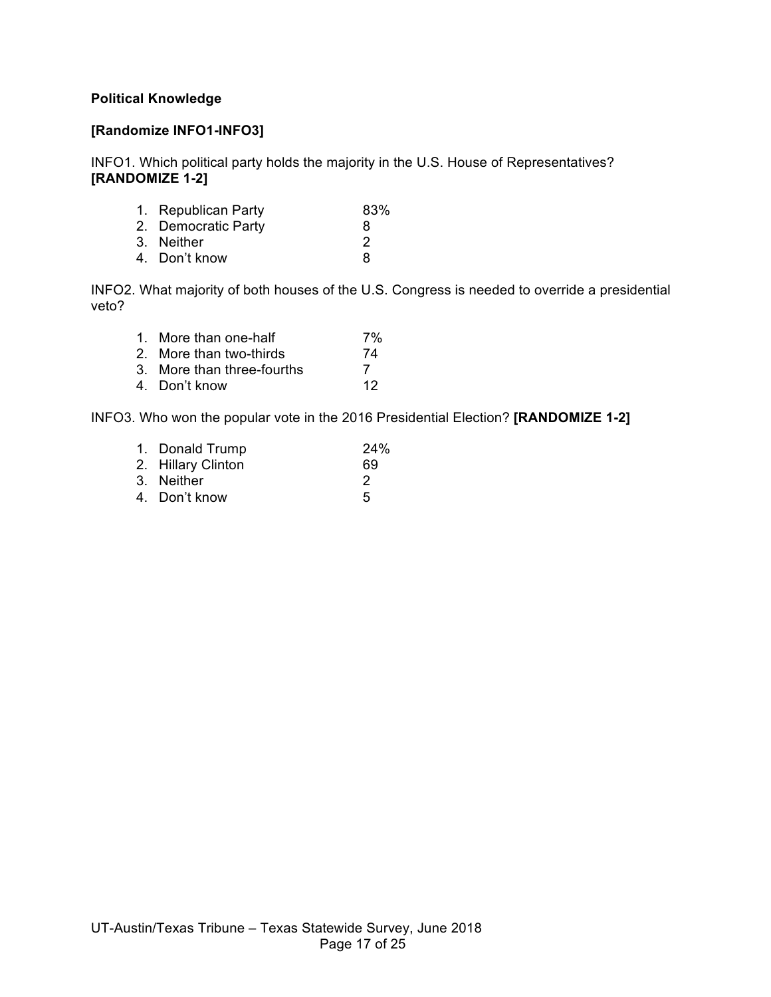#### **Political Knowledge**

#### **[Randomize INFO1-INFO3]**

INFO1. Which political party holds the majority in the U.S. House of Representatives? **[RANDOMIZE 1-2]**

| 1. Republican Party | 83%           |
|---------------------|---------------|
| 2. Democratic Party | 8             |
| 3. Neither          | $\mathcal{P}$ |
| 4. Don't know       | 8             |
|                     |               |

INFO2. What majority of both houses of the U.S. Congress is needed to override a presidential veto?

| 1. More than one-half      | 7% |
|----------------------------|----|
| 2. More than two-thirds    | 74 |
| 3. More than three-fourths | 7  |
| 4. Don't know              | 12 |

INFO3. Who won the popular vote in the 2016 Presidential Election? **[RANDOMIZE 1-2]**

| 1. Donald Trump    | 24% |
|--------------------|-----|
| 2. Hillary Clinton | 69  |
| 3. Neither         | 2   |
| 4. Don't know      | 5   |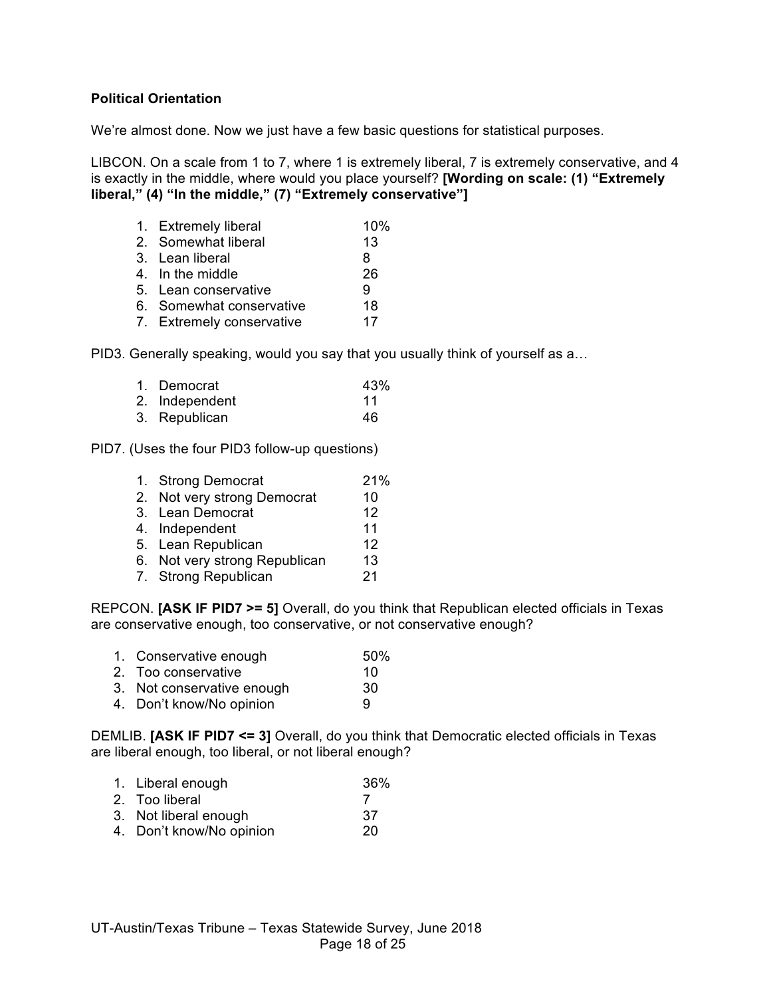#### **Political Orientation**

We're almost done. Now we just have a few basic questions for statistical purposes.

LIBCON. On a scale from 1 to 7, where 1 is extremely liberal, 7 is extremely conservative, and 4 is exactly in the middle, where would you place yourself? **[Wording on scale: (1) "Extremely liberal," (4) "In the middle," (7) "Extremely conservative"]**

| 1. Extremely liberal      | 10% |
|---------------------------|-----|
| 2. Somewhat liberal       | 13  |
| 3. Lean liberal           | 8   |
| 4. In the middle          | 26  |
| 5. Lean conservative      | 9   |
| 6. Somewhat conservative  | 18  |
| 7. Extremely conservative | 17  |
|                           |     |

PID3. Generally speaking, would you say that you usually think of yourself as a…

| 1. Democrat    | 43% |
|----------------|-----|
| 2. Independent | 11  |
| 3. Republican  | 46  |

PID7. (Uses the four PID3 follow-up questions)

| 1. Strong Democrat            | 21% |
|-------------------------------|-----|
| 2. Not very strong Democrat   | 10  |
| 3. Lean Democrat              | 12  |
| 4. Independent                | 11  |
| 5. Lean Republican            | 12  |
| 6. Not very strong Republican | 13  |
| 7. Strong Republican          | 21  |
|                               |     |

REPCON. **[ASK IF PID7 >= 5]** Overall, do you think that Republican elected officials in Texas are conservative enough, too conservative, or not conservative enough?

- 1. Conservative enough 50%
- 2. Too conservative 10
- 3. Not conservative enough 30
- 4. Don't know/No opinion 9

DEMLIB. **[ASK IF PID7 <= 3]** Overall, do you think that Democratic elected officials in Texas are liberal enough, too liberal, or not liberal enough?

- 1. Liberal enough 36%
- 2. Too liberal 7
- 3. Not liberal enough 37
- 4. Don't know/No opinion 20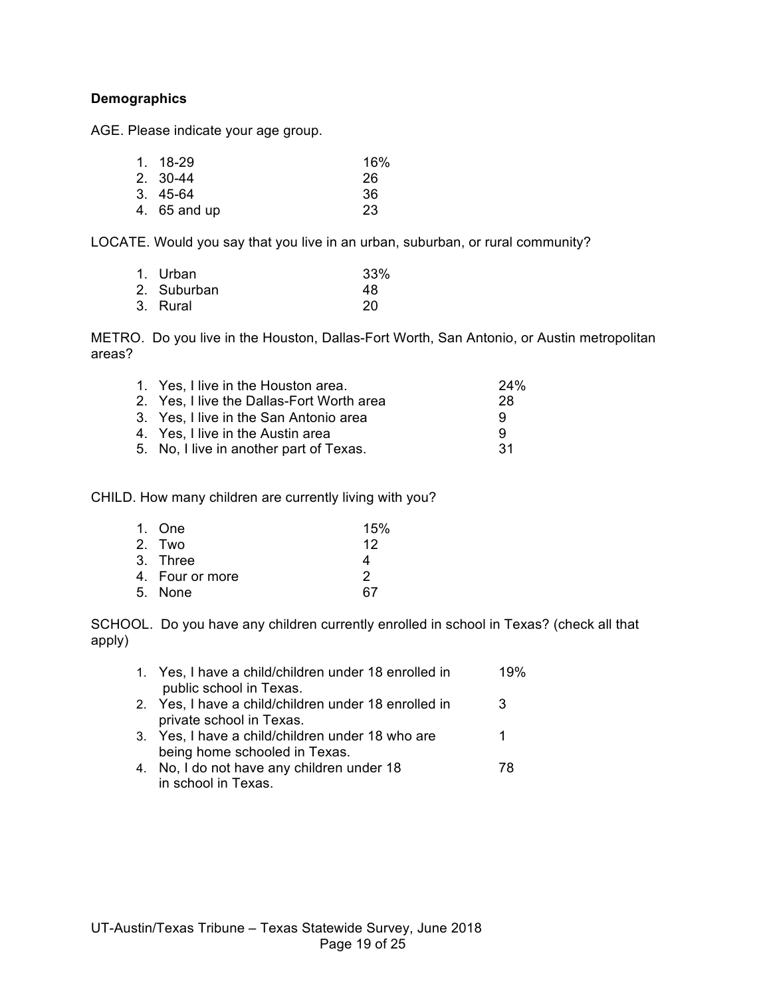#### **Demographics**

AGE. Please indicate your age group.

| 1. 18-29     | 16% |
|--------------|-----|
| 2. 30-44     | 26  |
| 3. 45-64     | 36  |
| 4. 65 and up | 23  |
|              |     |

LOCATE. Would you say that you live in an urban, suburban, or rural community?

| 1. Urban    | 33% |
|-------------|-----|
| 2. Suburban | 48  |
| 3. Rural    | 20  |

METRO. Do you live in the Houston, Dallas-Fort Worth, San Antonio, or Austin metropolitan areas?

| 28  |
|-----|
| 9   |
| 9   |
| -31 |
|     |

CHILD. How many children are currently living with you?

| 1. One          | 15% |
|-----------------|-----|
| 2. Two          | 12  |
| 3. Three        | 4   |
| 4. Four or more | 2   |
| 5. None         | 67  |

SCHOOL. Do you have any children currently enrolled in school in Texas? (check all that apply)

| 1. Yes, I have a child/children under 18 enrolled in | 19% |
|------------------------------------------------------|-----|
| public school in Texas.                              |     |
| 2. Yes, I have a child/children under 18 enrolled in | 3   |
| private school in Texas.                             |     |
| 3. Yes, I have a child/children under 18 who are     |     |
| being home schooled in Texas.                        |     |
| 4. No, I do not have any children under 18           | 78  |
| in school in Texas.                                  |     |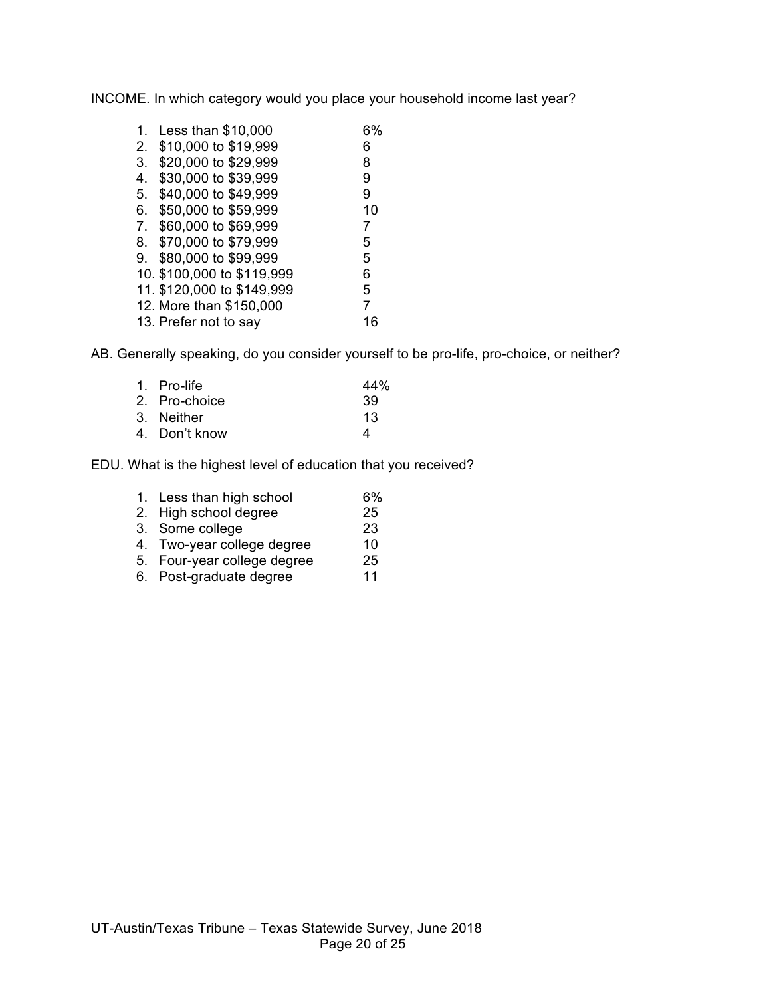INCOME. In which category would you place your household income last year?

| 1.             | Less than \$10,000         | 6% |
|----------------|----------------------------|----|
| 2.             | \$10,000 to \$19,999       | 6  |
| 3.             | \$20,000 to \$29,999       | 8  |
| 4.             | \$30,000 to \$39,999       | 9  |
| 5.             | \$40,000 to \$49,999       | 9  |
| 6.             | \$50,000 to \$59,999       | 10 |
| 7 <sub>1</sub> | \$60,000 to \$69,999       | 7  |
| 8.             | \$70,000 to \$79,999       | 5  |
| 9.             | \$80,000 to \$99,999       | 5  |
|                | 10. \$100,000 to \$119,999 | 6  |
|                | 11. \$120,000 to \$149,999 | 5  |
|                | 12. More than \$150,000    | 7  |
|                | 13. Prefer not to say      | 16 |

AB. Generally speaking, do you consider yourself to be pro-life, pro-choice, or neither?

| 1. Pro-life   | 44% |
|---------------|-----|
| 2. Pro-choice | 39  |
| 3. Neither    | 13  |
| 4. Don't know | Δ   |
|               |     |

EDU. What is the highest level of education that you received?

| 1. Less than high school    | 6% |
|-----------------------------|----|
| 2. High school degree       | 25 |
| 3. Some college             | 23 |
| 4. Two-year college degree  | 10 |
| 5. Four-year college degree | 25 |
| 6. Post-graduate degree     | 11 |

UT-Austin/Texas Tribune – Texas Statewide Survey, June 2018 Page 20 of 25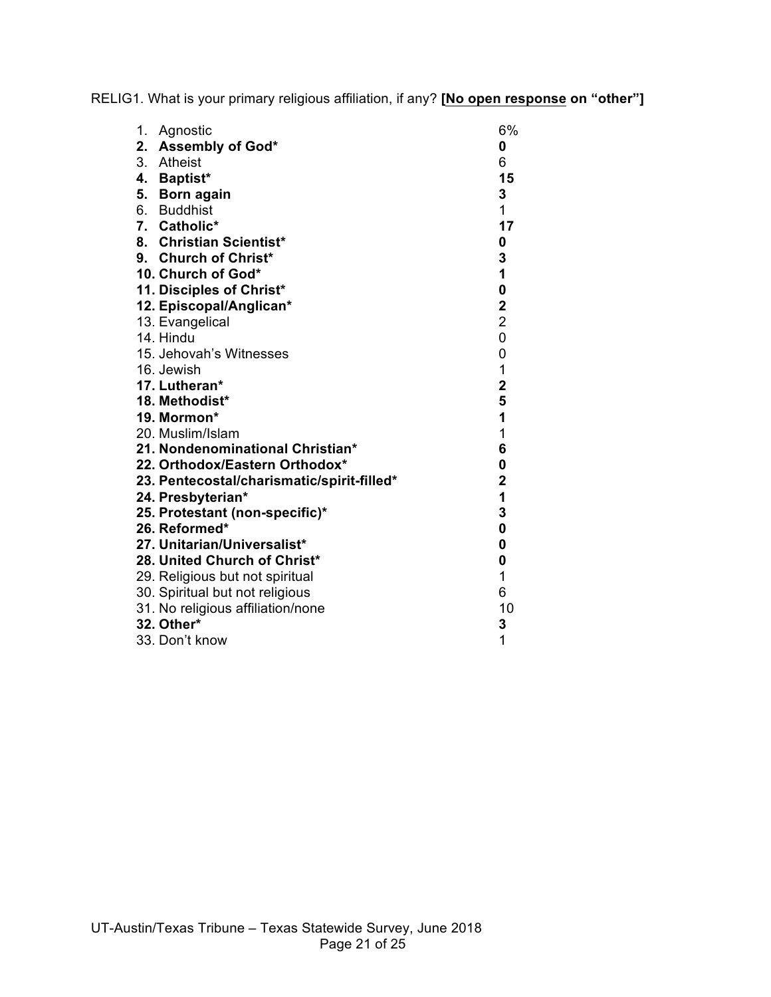RELIG1. What is your primary religious affiliation, if any? **[No open response on "other"]**

| 1.<br>Agnostic                             | 6%                      |
|--------------------------------------------|-------------------------|
| 2. Assembly of God*                        | 0                       |
| 3. Atheist                                 | 6                       |
| 4. Baptist*                                | 15                      |
| 5. Born again                              | 3                       |
| 6. Buddhist                                | 1                       |
| 7. Catholic*                               | 17                      |
| 8. Christian Scientist*                    | 0                       |
| 9. Church of Christ*                       | 3                       |
| 10. Church of God*                         | 1                       |
| 11. Disciples of Christ*                   | $\mathbf 0$             |
| 12. Episcopal/Anglican*                    | $\overline{\mathbf{2}}$ |
| 13. Evangelical                            | $\overline{\mathbf{c}}$ |
| 14. Hindu                                  | 0                       |
| 15. Jehovah's Witnesses                    | 0                       |
| 16. Jewish                                 | $\overline{1}$          |
| 17. Lutheran*                              | $\overline{\mathbf{2}}$ |
| 18. Methodist*                             | 5                       |
| 19. Mormon*                                | 1                       |
| 20. Muslim/Islam                           | 1                       |
| 21. Nondenominational Christian*           | 6                       |
| 22. Orthodox/Eastern Orthodox*             | 0                       |
| 23. Pentecostal/charismatic/spirit-filled* | $\mathbf 2$             |
| 24. Presbyterian*                          | $\overline{1}$          |
| 25. Protestant (non-specific)*             | 3                       |
| 26. Reformed*                              | $\mathbf 0$             |
| 27. Unitarian/Universalist*                | 0                       |
| 28. United Church of Christ*               | 0                       |
| 29. Religious but not spiritual            | 1                       |
| 30. Spiritual but not religious            | 6                       |
| 31. No religious affiliation/none          | 10                      |
| 32. Other*                                 | 3                       |
| 33. Don't know                             | 1                       |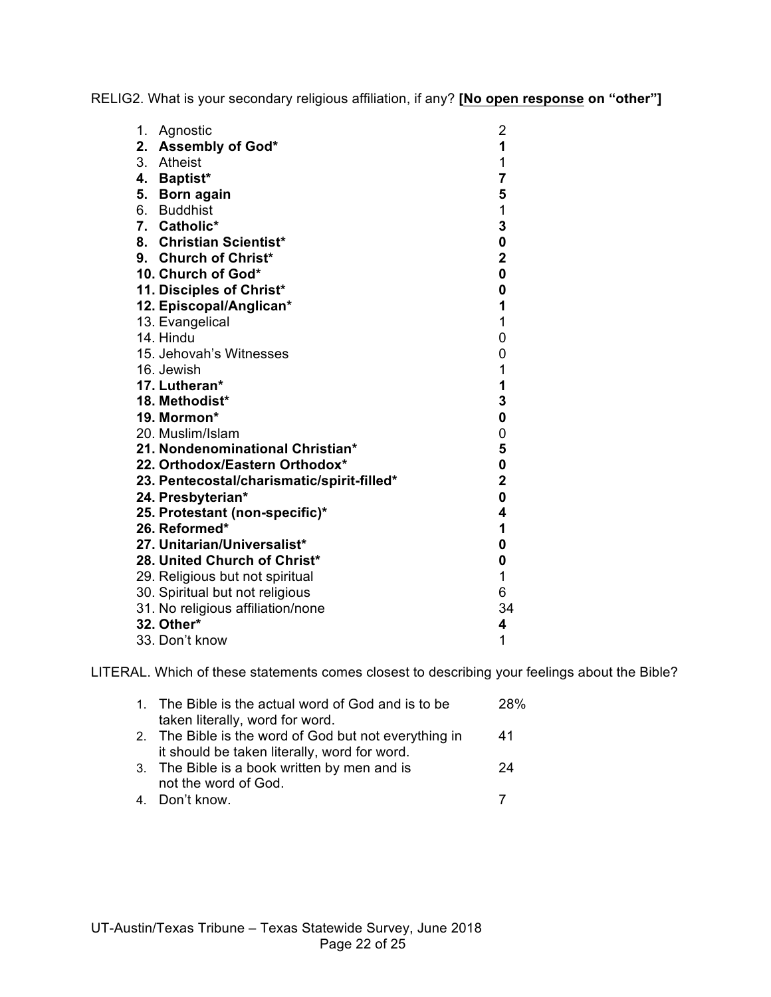RELIG2. What is your secondary religious affiliation, if any? **[No open response on "other"]**

| 1. | Agnostic                                   | $\overline{c}$          |
|----|--------------------------------------------|-------------------------|
| 2. | <b>Assembly of God*</b>                    | $\overline{\mathbf{1}}$ |
|    | 3. Atheist                                 | 1                       |
|    | 4. Baptist*                                | $\overline{\mathbf{7}}$ |
| 5. | <b>Born again</b>                          | 5                       |
|    | 6. Buddhist                                | $\mathbf 1$             |
|    | 7. Catholic*                               | 3                       |
|    | 8. Christian Scientist*                    | 0                       |
|    | 9. Church of Christ*                       | $\overline{\mathbf{2}}$ |
|    | 10. Church of God*                         | $\mathbf 0$             |
|    | 11. Disciples of Christ*                   | $\mathbf 0$             |
|    | 12. Episcopal/Anglican*                    | 1                       |
|    | 13. Evangelical                            | $\overline{1}$          |
|    | 14. Hindu                                  | 0                       |
|    | 15. Jehovah's Witnesses                    | 0                       |
|    | 16. Jewish                                 | 1                       |
|    | 17. Lutheran*                              | $\mathbf{1}$            |
|    | 18. Methodist*                             | 3                       |
|    | 19. Mormon*                                | 0                       |
|    | 20. Muslim/Islam                           | 0                       |
|    | 21. Nondenominational Christian*           | 5                       |
|    | 22. Orthodox/Eastern Orthodox*             | 0                       |
|    | 23. Pentecostal/charismatic/spirit-filled* | $\overline{\mathbf{2}}$ |
|    | 24. Presbyterian*                          | $\mathbf 0$             |
|    | 25. Protestant (non-specific)*             | 4                       |
|    | 26. Reformed*                              | 1                       |
|    | 27. Unitarian/Universalist*                | 0                       |
|    | 28. United Church of Christ*               | 0                       |
|    | 29. Religious but not spiritual            | 1                       |
|    | 30. Spiritual but not religious            | 6                       |
|    | 31. No religious affiliation/none          | 34                      |
|    | 32. Other*                                 | 4                       |
|    | 33. Don't know                             | 1                       |

LITERAL. Which of these statements comes closest to describing your feelings about the Bible?

| 1. The Bible is the actual word of God and is to be   | 28% |
|-------------------------------------------------------|-----|
| taken literally, word for word.                       |     |
| 2. The Bible is the word of God but not everything in | 41  |
| it should be taken literally, word for word.          |     |
| 3. The Bible is a book written by men and is          | 24  |
| not the word of God.                                  |     |
| 4. Don't know.                                        |     |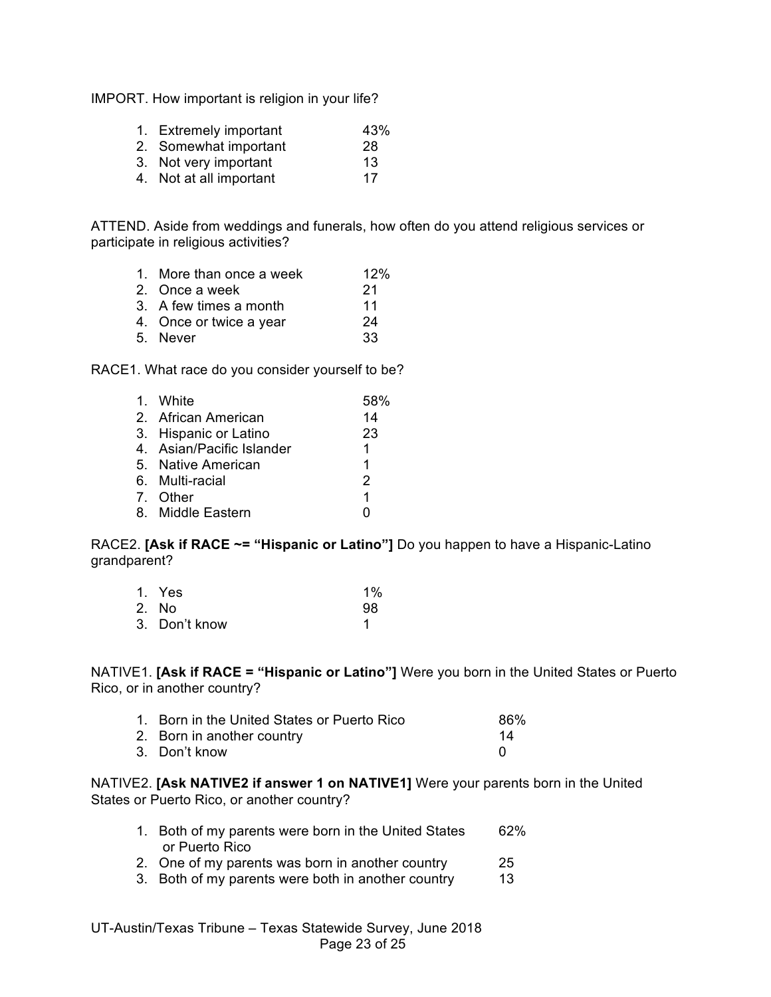IMPORT. How important is religion in your life?

- 1. Extremely important 43%
- 2. Somewhat important 28
- 3. Not very important 13
- 4. Not at all important 17

ATTEND. Aside from weddings and funerals, how often do you attend religious services or participate in religious activities?

- 1. More than once a week 12%
- 2. Once a week 21
- 3. A few times a month 11
- 4. Once or twice a year 24
- 5. Never 33

RACE1. What race do you consider yourself to be?

| 1. White                  | 58%           |
|---------------------------|---------------|
| 2. African American       | 14            |
| 3. Hispanic or Latino     | 23            |
| 4. Asian/Pacific Islander | 1.            |
| 5. Native American        | 1             |
| 6. Multi-racial           | $\mathcal{P}$ |
| 7. Other                  | 1             |
| 8. Middle Eastern         |               |

RACE2. **[Ask if RACE ~= "Hispanic or Latino"]** Do you happen to have a Hispanic-Latino grandparent?

| 1. Yes        | $1\%$ |
|---------------|-------|
| 2. No         | 98    |
| 3. Don't know |       |

NATIVE1. **[Ask if RACE = "Hispanic or Latino"]** Were you born in the United States or Puerto Rico, or in another country?

| 1. Born in the United States or Puerto Rico | 86% |
|---------------------------------------------|-----|
| 2. Born in another country                  | 14  |
| 3. Don't know                               |     |

NATIVE2. **[Ask NATIVE2 if answer 1 on NATIVE1]** Were your parents born in the United States or Puerto Rico, or another country?

- 1. Both of my parents were born in the United States 62% or Puerto Rico
- 2. One of my parents was born in another country 25
- 3. Both of my parents were both in another country 13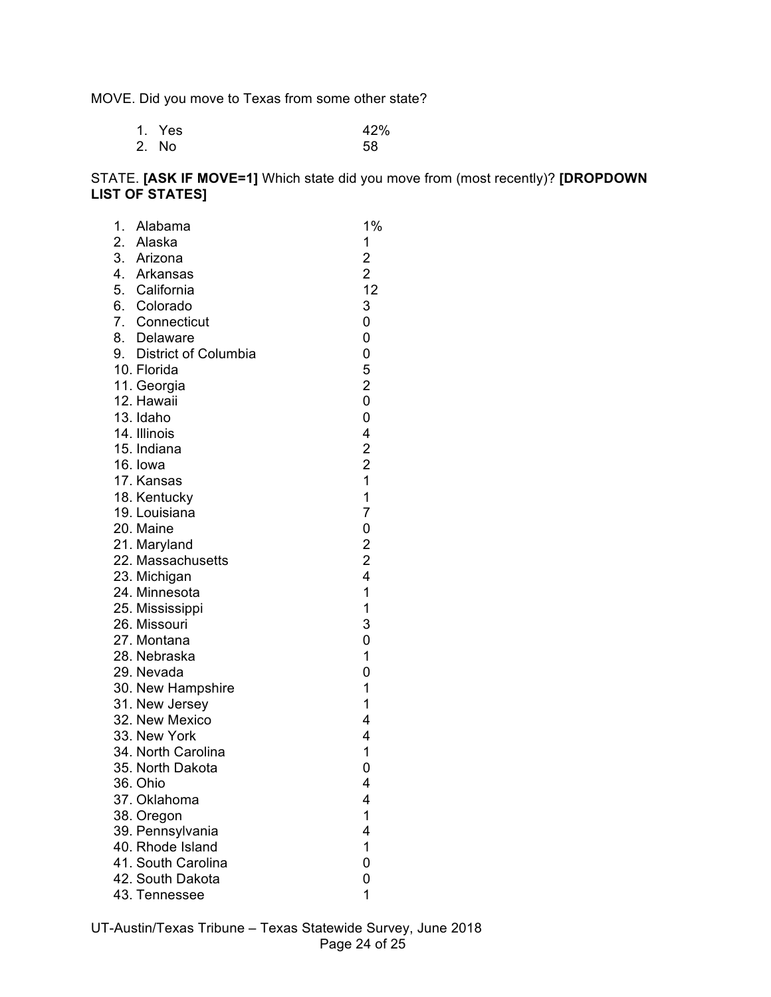MOVE. Did you move to Texas from some other state?

| 1. Yes | 42% |
|--------|-----|
| 2. No  | 58  |

## STATE. **[ASK IF MOVE=1]** Which state did you move from (most recently)? **[DROPDOWN LIST OF STATES]**

| 1. | Alabama                     | 1%                                         |
|----|-----------------------------|--------------------------------------------|
|    |                             | 1                                          |
|    | 2. Alaska<br>3. Arizona     | 2<br>2<br>12                               |
|    | 4. Arkansas                 |                                            |
|    | 5. California               |                                            |
|    | 6. Colorado                 | 3                                          |
|    | 7. Connecticut              | 0                                          |
|    | 8. Delaware                 | 0                                          |
|    | 9. District of Columbia     | 0                                          |
|    | 10. Florida                 | 5                                          |
|    | 11. Georgia                 | $\overline{\mathbf{c}}$                    |
|    | 12. Hawaii                  | 0                                          |
|    | 13. Idaho                   | 0                                          |
|    | 14. Illinois                | 4                                          |
|    | 15. Indiana                 |                                            |
|    | 16. Iowa                    | $\begin{array}{c} 2 \\ 2 \\ 1 \end{array}$ |
|    | 17. Kansas                  |                                            |
|    | 18. Kentucky                | $\mathbf{1}$                               |
|    | 19. Louisiana               | $\overline{7}$                             |
|    | 20. Maine                   | $\mathbf 0$                                |
|    | 21. Maryland                | $\begin{array}{c} 2 \\ 2 \\ 4 \end{array}$ |
|    | 22. Massachusetts           |                                            |
|    | 23. Michigan                | $\overline{1}$                             |
|    | 24. Minnesota               | $\mathbf 1$                                |
|    | 25. Mississippi             | 3                                          |
|    | 26. Missouri<br>27. Montana | 0                                          |
|    | 28. Nebraska                | 1                                          |
|    | 29. Nevada                  | 0                                          |
|    | 30. New Hampshire           | $\mathbf 1$                                |
|    | 31. New Jersey              | 1                                          |
|    | 32. New Mexico              | 4                                          |
|    | 33. New York                | 4                                          |
|    | 34. North Carolina          | 1                                          |
|    | 35. North Dakota            | 0                                          |
|    | 36. Ohio                    | 4                                          |
|    | 37. Oklahoma                | 4                                          |
|    | 38. Oregon                  | 1                                          |
|    | 39. Pennsylvania            | 4                                          |
|    | 40. Rhode Island            | 1                                          |
|    | 41. South Carolina          | 0                                          |
|    | 42. South Dakota            | 0                                          |
|    | 43. Tennessee               | 1                                          |
|    |                             |                                            |